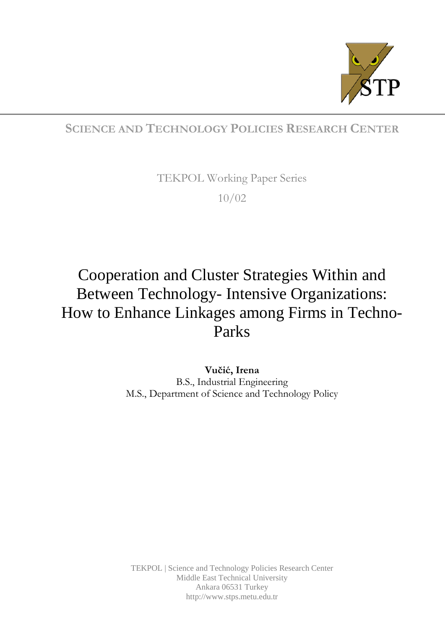

# **SCIENCE AND TECHNOLOGY POLICIES RESEARCH CENTER**

TEKPOL Working Paper Series 10/02

# Cooperation and Cluster Strategies Within and Between Technology- Intensive Organizations: How to Enhance Linkages among Firms in Techno-Parks

**Vučić, Irena** B.S., Industrial Engineering M.S., Department of Science and Technology Policy

TEKPOL | Science and Technology Policies Research Center Middle East Technical University Ankara 06531 Turkey http://www.stps.metu.edu.tr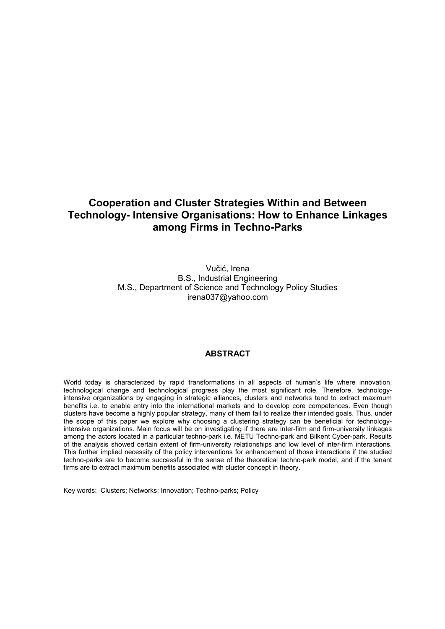# **Cooperation and Cluster Strategies Within and Between Technology- Intensive Organisations: How to Enhance Linkages among Firms in Techno-Parks**

Vučić, Irena B.S., Industrial Engineering M.S., Department of Science and Technology Policy Studies irena037@yahoo.com

## **ABSTRACT**

World today is characterized by rapid transformations in all aspects of human's life where innovation, technological change and technological progress play the most significant role. Therefore, technologyintensive organizations by engaging in strategic alliances, clusters and networks tend to extract maximum benefits i.e. to enable entry into the international markets and to develop core competences. Even though clusters have become a highly popular strategy, many of them fail to realize their intended goals. Thus, under the scope of this paper we explore why choosing a clustering strategy can be beneficial for technologyintensive organizations. Main focus will be on investigating if there are inter-firm and firm-university linkages among the actors located in a particular techno-park i.e. METU Techno-park and Bilkent Cyber-park. Results of the analysis showed certain extent of firm-university relationships and low level of inter-firm interactions. This further implied necessity of the policy interventions for enhancement of those interactions if the studied techno-parks are to become successful in the sense of the theoretical techno-park model, and if the tenant firms are to extract maximum benefits associated with cluster concept in theory.

Key words: Clusters; Networks; Innovation; Techno-parks; Policy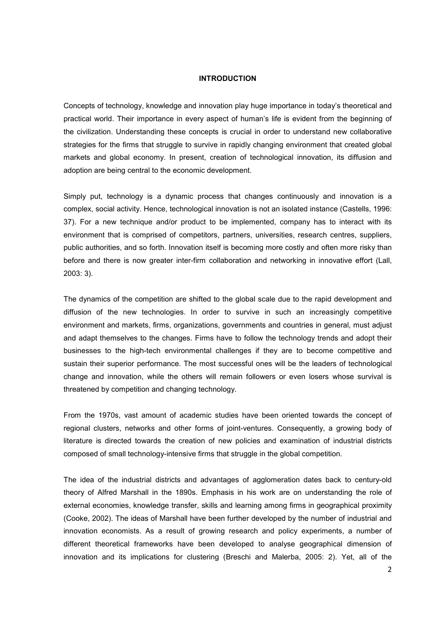#### **INTRODUCTION**

Concepts of technology, knowledge and innovation play huge importance in today's theoretical and practical world. Their importance in every aspect of human's life is evident from the beginning of the civilization. Understanding these concepts is crucial in order to understand new collaborative strategies for the firms that struggle to survive in rapidly changing environment that created global markets and global economy. In present, creation of technological innovation, its diffusion and adoption are being central to the economic development.

Simply put, technology is a dynamic process that changes continuously and innovation is a complex, social activity. Hence, technological innovation is not an isolated instance (Castells, 1996: 37). For a new technique and/or product to be implemented, company has to interact with its environment that is comprised of competitors, partners, universities, research centres, suppliers, public authorities, and so forth. Innovation itself is becoming more costly and often more risky than before and there is now greater inter-firm collaboration and networking in innovative effort (Lall, 2003: 3).

The dynamics of the competition are shifted to the global scale due to the rapid development and diffusion of the new technologies. In order to survive in such an increasingly competitive environment and markets, firms, organizations, governments and countries in general, must adjust and adapt themselves to the changes. Firms have to follow the technology trends and adopt their businesses to the high-tech environmental challenges if they are to become competitive and sustain their superior performance. The most successful ones will be the leaders of technological change and innovation, while the others will remain followers or even losers whose survival is threatened by competition and changing technology.

From the 1970s, vast amount of academic studies have been oriented towards the concept of regional clusters, networks and other forms of joint-ventures. Consequently, a growing body of literature is directed towards the creation of new policies and examination of industrial districts composed of small technology-intensive firms that struggle in the global competition.

The idea of the industrial districts and advantages of agglomeration dates back to century-old theory of Alfred Marshall in the 1890s. Emphasis in his work are on understanding the role of external economies, knowledge transfer, skills and learning among firms in geographical proximity (Cooke, 2002). The ideas of Marshall have been further developed by the number of industrial and innovation economists. As a result of growing research and policy experiments, a number of different theoretical frameworks have been developed to analyse geographical dimension of innovation and its implications for clustering (Breschi and Malerba, 2005: 2). Yet, all of the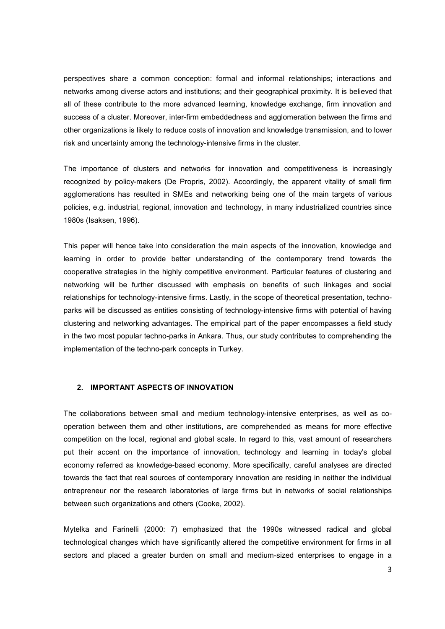perspectives share a common conception: formal and informal relationships; interactions and networks among diverse actors and institutions; and their geographical proximity. It is believed that all of these contribute to the more advanced learning, knowledge exchange, firm innovation and success of a cluster. Moreover, inter-firm embeddedness and agglomeration between the firms and other organizations is likely to reduce costs of innovation and knowledge transmission, and to lower risk and uncertainty among the technology-intensive firms in the cluster.

The importance of clusters and networks for innovation and competitiveness is increasingly recognized by policy-makers (De Propris, 2002). Accordingly, the apparent vitality of small firm agglomerations has resulted in SMEs and networking being one of the main targets of various policies, e.g. industrial, regional, innovation and technology, in many industrialized countries since 1980s (Isaksen, 1996).

This paper will hence take into consideration the main aspects of the innovation, knowledge and learning in order to provide better understanding of the contemporary trend towards the cooperative strategies in the highly competitive environment. Particular features of clustering and networking will be further discussed with emphasis on benefits of such linkages and social relationships for technology-intensive firms. Lastly, in the scope of theoretical presentation, technoparks will be discussed as entities consisting of technology-intensive firms with potential of having clustering and networking advantages. The empirical part of the paper encompasses a field study in the two most popular techno-parks in Ankara. Thus, our study contributes to comprehending the implementation of the techno-park concepts in Turkey.

### **2. IMPORTANT ASPECTS OF INNOVATION**

The collaborations between small and medium technology-intensive enterprises, as well as cooperation between them and other institutions, are comprehended as means for more effective competition on the local, regional and global scale. In regard to this, vast amount of researchers put their accent on the importance of innovation, technology and learning in today's global economy referred as knowledge-based economy. More specifically, careful analyses are directed towards the fact that real sources of contemporary innovation are residing in neither the individual entrepreneur nor the research laboratories of large firms but in networks of social relationships between such organizations and others (Cooke, 2002).

Mytelka and Farinelli (2000: 7) emphasized that the 1990s witnessed radical and global technological changes which have significantly altered the competitive environment for firms in all sectors and placed a greater burden on small and medium-sized enterprises to engage in a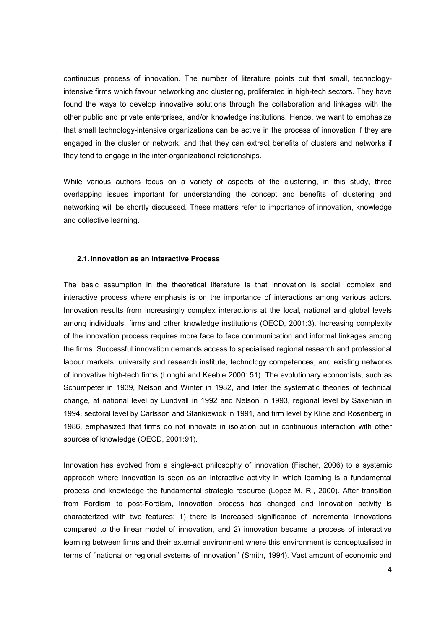continuous process of innovation. The number of literature points out that small, technologyintensive firms which favour networking and clustering, proliferated in high-tech sectors. They have found the ways to develop innovative solutions through the collaboration and linkages with the other public and private enterprises, and/or knowledge institutions. Hence, we want to emphasize that small technology-intensive organizations can be active in the process of innovation if they are engaged in the cluster or network, and that they can extract benefits of clusters and networks if they tend to engage in the inter-organizational relationships.

While various authors focus on a variety of aspects of the clustering, in this study, three overlapping issues important for understanding the concept and benefits of clustering and networking will be shortly discussed. These matters refer to importance of innovation, knowledge and collective learning.

## **2.1. Innovation as an Interactive Process**

The basic assumption in the theoretical literature is that innovation is social, complex and interactive process where emphasis is on the importance of interactions among various actors. Innovation results from increasingly complex interactions at the local, national and global levels among individuals, firms and other knowledge institutions (OECD, 2001:3). Increasing complexity of the innovation process requires more face to face communication and informal linkages among the firms. Successful innovation demands access to specialised regional research and professional labour markets, university and research institute, technology competences, and existing networks of innovative high-tech firms (Longhi and Keeble 2000: 51). The evolutionary economists, such as Schumpeter in 1939, Nelson and Winter in 1982, and later the systematic theories of technical change, at national level by Lundvall in 1992 and Nelson in 1993, regional level by Saxenian in 1994, sectoral level by Carlsson and Stankiewick in 1991, and firm level by Kline and Rosenberg in 1986, emphasized that firms do not innovate in isolation but in continuous interaction with other sources of knowledge (OECD, 2001:91).

Innovation has evolved from a single-act philosophy of innovation (Fischer, 2006) to a systemic approach where innovation is seen as an interactive activity in which learning is a fundamental process and knowledge the fundamental strategic resource (Lopez M. R., 2000). After transition from Fordism to post-Fordism, innovation process has changed and innovation activity is characterized with two features: 1) there is increased significance of incremental innovations compared to the linear model of innovation, and 2) innovation became a process of interactive learning between firms and their external environment where this environment is conceptualised in terms of ''national or regional systems of innovation'' (Smith, 1994). Vast amount of economic and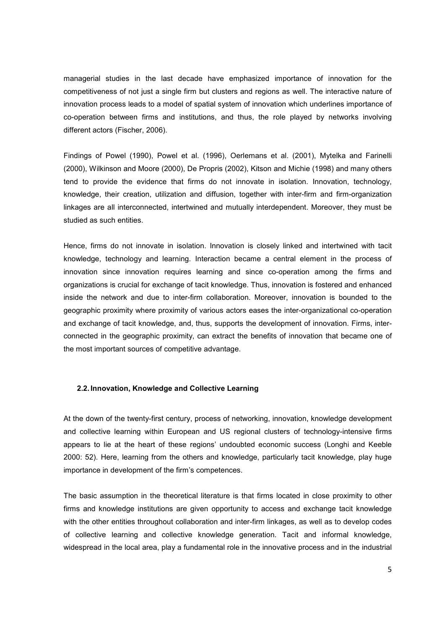managerial studies in the last decade have emphasized importance of innovation for the competitiveness of not just a single firm but clusters and regions as well. The interactive nature of innovation process leads to a model of spatial system of innovation which underlines importance of co-operation between firms and institutions, and thus, the role played by networks involving different actors (Fischer, 2006).

Findings of Powel (1990), Powel et al. (1996), Oerlemans et al. (2001), Mytelka and Farinelli (2000), Wilkinson and Moore (2000), De Propris (2002), Kitson and Michie (1998) and many others tend to provide the evidence that firms do not innovate in isolation. Innovation, technology, knowledge, their creation, utilization and diffusion, together with inter-firm and firm-organization linkages are all interconnected, intertwined and mutually interdependent. Moreover, they must be studied as such entities.

Hence, firms do not innovate in isolation. Innovation is closely linked and intertwined with tacit knowledge, technology and learning. Interaction became a central element in the process of innovation since innovation requires learning and since co-operation among the firms and organizations is crucial for exchange of tacit knowledge. Thus, innovation is fostered and enhanced inside the network and due to inter-firm collaboration. Moreover, innovation is bounded to the geographic proximity where proximity of various actors eases the inter-organizational co-operation and exchange of tacit knowledge, and, thus, supports the development of innovation. Firms, interconnected in the geographic proximity, can extract the benefits of innovation that became one of the most important sources of competitive advantage.

#### **2.2. Innovation, Knowledge and Collective Learning**

At the down of the twenty-first century, process of networking, innovation, knowledge development and collective learning within European and US regional clusters of technology-intensive firms appears to lie at the heart of these regions' undoubted economic success (Longhi and Keeble 2000: 52). Here, learning from the others and knowledge, particularly tacit knowledge, play huge importance in development of the firm's competences.

The basic assumption in the theoretical literature is that firms located in close proximity to other firms and knowledge institutions are given opportunity to access and exchange tacit knowledge with the other entities throughout collaboration and inter-firm linkages, as well as to develop codes of collective learning and collective knowledge generation. Tacit and informal knowledge, widespread in the local area, play a fundamental role in the innovative process and in the industrial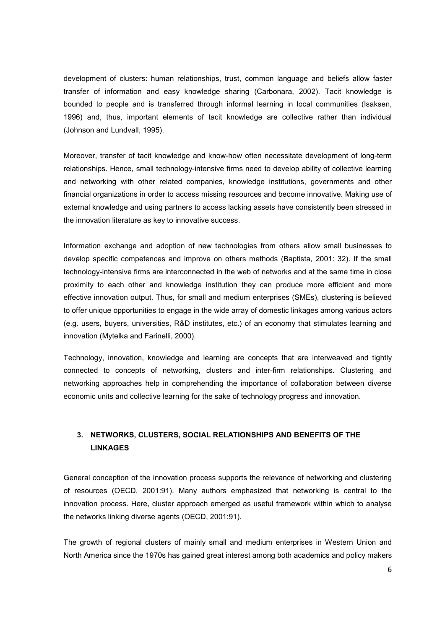development of clusters: human relationships, trust, common language and beliefs allow faster transfer of information and easy knowledge sharing (Carbonara, 2002). Tacit knowledge is bounded to people and is transferred through informal learning in local communities (Isaksen, 1996) and, thus, important elements of tacit knowledge are collective rather than individual (Johnson and Lundvall, 1995).

Moreover, transfer of tacit knowledge and know-how often necessitate development of long-term relationships. Hence, small technology-intensive firms need to develop ability of collective learning and networking with other related companies, knowledge institutions, governments and other financial organizations in order to access missing resources and become innovative. Making use of external knowledge and using partners to access lacking assets have consistently been stressed in the innovation literature as key to innovative success.

Information exchange and adoption of new technologies from others allow small businesses to develop specific competences and improve on others methods (Baptista, 2001: 32). If the small technology-intensive firms are interconnected in the web of networks and at the same time in close proximity to each other and knowledge institution they can produce more efficient and more effective innovation output. Thus, for small and medium enterprises (SMEs), clustering is believed to offer unique opportunities to engage in the wide array of domestic linkages among various actors (e.g. users, buyers, universities, R&D institutes, etc.) of an economy that stimulates learning and innovation (Mytelka and Farinelli, 2000).

Technology, innovation, knowledge and learning are concepts that are interweaved and tightly connected to concepts of networking, clusters and inter-firm relationships. Clustering and networking approaches help in comprehending the importance of collaboration between diverse economic units and collective learning for the sake of technology progress and innovation.

# **3. NETWORKS, CLUSTERS, SOCIAL RELATIONSHIPS AND BENEFITS OF THE LINKAGES**

General conception of the innovation process supports the relevance of networking and clustering of resources (OECD, 2001:91). Many authors emphasized that networking is central to the innovation process. Here, cluster approach emerged as useful framework within which to analyse the networks linking diverse agents (OECD, 2001:91).

The growth of regional clusters of mainly small and medium enterprises in Western Union and North America since the 1970s has gained great interest among both academics and policy makers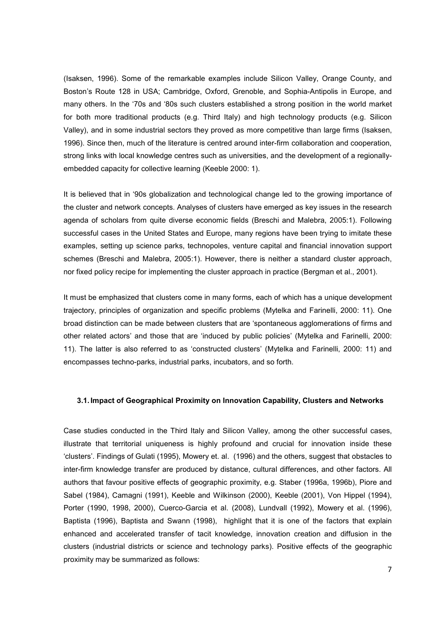(Isaksen, 1996). Some of the remarkable examples include Silicon Valley, Orange County, and Boston's Route 128 in USA; Cambridge, Oxford, Grenoble, and Sophia-Antipolis in Europe, and many others. In the '70s and '80s such clusters established a strong position in the world market for both more traditional products (e.g. Third Italy) and high technology products (e.g. Silicon Valley), and in some industrial sectors they proved as more competitive than large firms (Isaksen, 1996). Since then, much of the literature is centred around inter-firm collaboration and cooperation, strong links with local knowledge centres such as universities, and the development of a regionallyembedded capacity for collective learning (Keeble 2000: 1).

It is believed that in '90s globalization and technological change led to the growing importance of the cluster and network concepts. Analyses of clusters have emerged as key issues in the research agenda of scholars from quite diverse economic fields (Breschi and Malebra, 2005:1). Following successful cases in the United States and Europe, many regions have been trying to imitate these examples, setting up science parks, technopoles, venture capital and financial innovation support schemes (Breschi and Malebra, 2005:1). However, there is neither a standard cluster approach, nor fixed policy recipe for implementing the cluster approach in practice (Bergman et al., 2001).

It must be emphasized that clusters come in many forms, each of which has a unique development trajectory, principles of organization and specific problems (Mytelka and Farinelli, 2000: 11). One broad distinction can be made between clusters that are 'spontaneous agglomerations of firms and other related actors' and those that are 'induced by public policies' (Mytelka and Farinelli, 2000: 11). The latter is also referred to as 'constructed clusters' (Mytelka and Farinelli, 2000: 11) and encompasses techno-parks, industrial parks, incubators, and so forth.

#### **3.1. Impact of Geographical Proximity on Innovation Capability, Clusters and Networks**

Case studies conducted in the Third Italy and Silicon Valley, among the other successful cases, illustrate that territorial uniqueness is highly profound and crucial for innovation inside these 'clusters'. Findings of Gulati (1995), Mowery et. al. (1996) and the others, suggest that obstacles to inter-firm knowledge transfer are produced by distance, cultural differences, and other factors. All authors that favour positive effects of geographic proximity, e.g. Staber (1996a, 1996b), Piore and Sabel (1984), Camagni (1991), Keeble and Wilkinson (2000), Keeble (2001), Von Hippel (1994), Porter (1990, 1998, 2000), Cuerco-Garcia et al. (2008), Lundvall (1992), Mowery et al. (1996), Baptista (1996), Baptista and Swann (1998), highlight that it is one of the factors that explain enhanced and accelerated transfer of tacit knowledge, innovation creation and diffusion in the clusters (industrial districts or science and technology parks). Positive effects of the geographic proximity may be summarized as follows: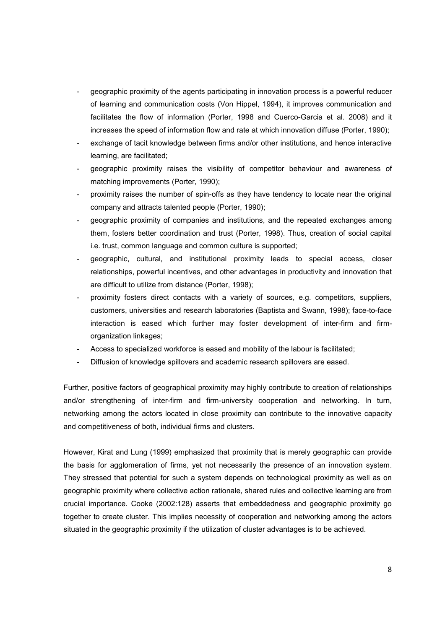- geographic proximity of the agents participating in innovation process is a powerful reducer of learning and communication costs (Von Hippel, 1994), it improves communication and facilitates the flow of information (Porter, 1998 and Cuerco-Garcia et al. 2008) and it increases the speed of information flow and rate at which innovation diffuse (Porter, 1990);
- exchange of tacit knowledge between firms and/or other institutions, and hence interactive learning, are facilitated;
- geographic proximity raises the visibility of competitor behaviour and awareness of matching improvements (Porter, 1990);
- proximity raises the number of spin-offs as they have tendency to locate near the original company and attracts talented people (Porter, 1990);
- geographic proximity of companies and institutions, and the repeated exchanges among them, fosters better coordination and trust (Porter, 1998). Thus, creation of social capital i.e. trust, common language and common culture is supported;
- geographic, cultural, and institutional proximity leads to special access, closer relationships, powerful incentives, and other advantages in productivity and innovation that are difficult to utilize from distance (Porter, 1998);
- proximity fosters direct contacts with a variety of sources, e.g. competitors, suppliers, customers, universities and research laboratories (Baptista and Swann, 1998); face-to-face interaction is eased which further may foster development of inter-firm and firmorganization linkages;
- Access to specialized workforce is eased and mobility of the labour is facilitated;
- Diffusion of knowledge spillovers and academic research spillovers are eased.

Further, positive factors of geographical proximity may highly contribute to creation of relationships and/or strengthening of inter-firm and firm-university cooperation and networking. In turn, networking among the actors located in close proximity can contribute to the innovative capacity and competitiveness of both, individual firms and clusters.

However, Kirat and Lung (1999) emphasized that proximity that is merely geographic can provide the basis for agglomeration of firms, yet not necessarily the presence of an innovation system. They stressed that potential for such a system depends on technological proximity as well as on geographic proximity where collective action rationale, shared rules and collective learning are from crucial importance. Cooke (2002:128) asserts that embeddedness and geographic proximity go together to create cluster. This implies necessity of cooperation and networking among the actors situated in the geographic proximity if the utilization of cluster advantages is to be achieved.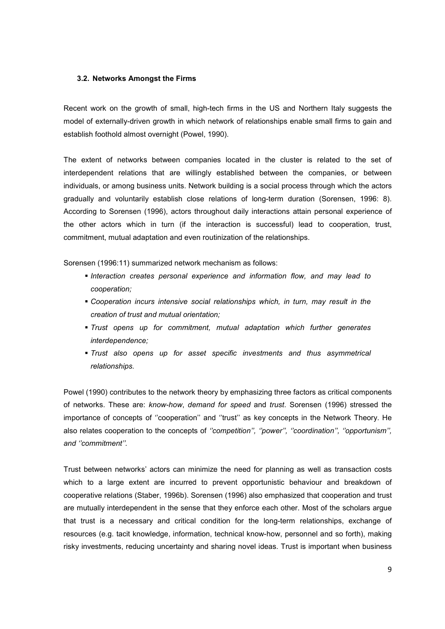#### **3.2. Networks Amongst the Firms**

Recent work on the growth of small, high-tech firms in the US and Northern Italy suggests the model of externally-driven growth in which network of relationships enable small firms to gain and establish foothold almost overnight (Powel, 1990).

The extent of networks between companies located in the cluster is related to the set of interdependent relations that are willingly established between the companies, or between individuals, or among business units. Network building is a social process through which the actors gradually and voluntarily establish close relations of long-term duration (Sorensen, 1996: 8). According to Sorensen (1996), actors throughout daily interactions attain personal experience of the other actors which in turn (if the interaction is successful) lead to cooperation, trust, commitment, mutual adaptation and even routinization of the relationships.

Sorensen (1996:11) summarized network mechanism as follows:

- *Interaction creates personal experience and information flow, and may lead to cooperation;*
- *Cooperation incurs intensive social relationships which, in turn, may result in the creation of trust and mutual orientation;*
- *Trust opens up for commitment, mutual adaptation which further generates interdependence;*
- *Trust also opens up for asset specific investments and thus asymmetrical relationships.*

Powel (1990) contributes to the network theory by emphasizing three factors as critical components of networks. These are: *know-how*, *demand for speed* and *trust*. Sorensen (1996) stressed the importance of concepts of ''cooperation'' and ''trust'' as key concepts in the Network Theory. He also relates cooperation to the concepts of *''competition'', ''power'', ''coordination'', ''opportunism'', and ''commitment''.* 

Trust between networks' actors can minimize the need for planning as well as transaction costs which to a large extent are incurred to prevent opportunistic behaviour and breakdown of cooperative relations (Staber, 1996b). Sorensen (1996) also emphasized that cooperation and trust are mutually interdependent in the sense that they enforce each other. Most of the scholars argue that trust is a necessary and critical condition for the long-term relationships, exchange of resources (e.g. tacit knowledge, information, technical know-how, personnel and so forth), making risky investments, reducing uncertainty and sharing novel ideas. Trust is important when business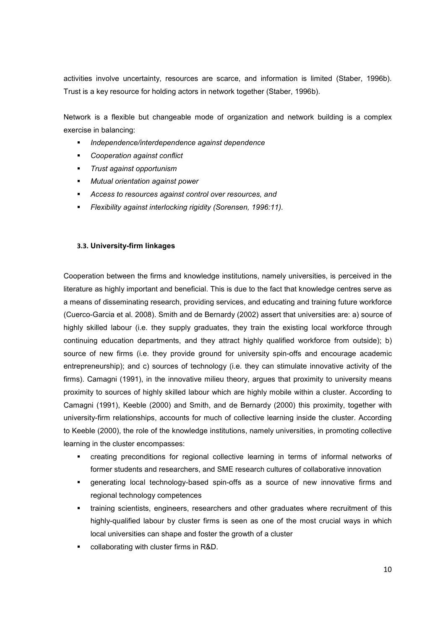activities involve uncertainty, resources are scarce, and information is limited (Staber, 1996b). Trust is a key resource for holding actors in network together (Staber, 1996b).

Network is a flexible but changeable mode of organization and network building is a complex exercise in balancing:

- *Independence/interdependence against dependence*
- *Cooperation against conflict*
- *Trust against opportunism*
- *Mutual orientation against power*
- *Access to resources against control over resources, and*
- *Flexibility against interlocking rigidity (Sorensen, 1996:11).*

#### **3.3. University-firm linkages**

Cooperation between the firms and knowledge institutions, namely universities, is perceived in the literature as highly important and beneficial. This is due to the fact that knowledge centres serve as a means of disseminating research, providing services, and educating and training future workforce (Cuerco-Garcia et al. 2008). Smith and de Bernardy (2002) assert that universities are: a) source of highly skilled labour (i.e. they supply graduates, they train the existing local workforce through continuing education departments, and they attract highly qualified workforce from outside); b) source of new firms (i.e. they provide ground for university spin-offs and encourage academic entrepreneurship); and c) sources of technology (i.e. they can stimulate innovative activity of the firms). Camagni (1991), in the innovative milieu theory, argues that proximity to university means proximity to sources of highly skilled labour which are highly mobile within a cluster. According to Camagni (1991), Keeble (2000) and Smith, and de Bernardy (2000) this proximity, together with university-firm relationships, accounts for much of collective learning inside the cluster. According to Keeble (2000), the role of the knowledge institutions, namely universities, in promoting collective learning in the cluster encompasses:

- creating preconditions for regional collective learning in terms of informal networks of former students and researchers, and SME research cultures of collaborative innovation
- generating local technology-based spin-offs as a source of new innovative firms and regional technology competences
- training scientists, engineers, researchers and other graduates where recruitment of this highly-qualified labour by cluster firms is seen as one of the most crucial ways in which local universities can shape and foster the growth of a cluster
- collaborating with cluster firms in R&D.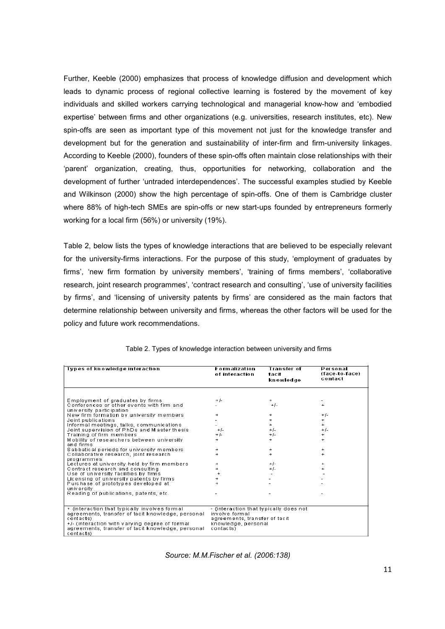Further, Keeble (2000) emphasizes that process of knowledge diffusion and development which leads to dynamic process of regional collective learning is fostered by the movement of key individuals and skilled workers carrying technological and managerial know-how and 'embodied expertise' between firms and other organizations (e.g. universities, research institutes, etc). New spin-offs are seen as important type of this movement not just for the knowledge transfer and development but for the generation and sustainability of inter-firm and firm-university linkages. According to Keeble (2000), founders of these spin-offs often maintain close relationships with their 'parent' organization, creating, thus, opportunities for networking, collaboration and the development of further 'untraded interdependences'. The successful examples studied by Keeble and Wilkinson (2000) show the high percentage of spin-offs. One of them is Cambridge cluster where 88% of high-tech SMEs are spin-offs or new start-ups founded by entrepreneurs formerly working for a local firm (56%) or university (19%).

Table 2, below lists the types of knowledge interactions that are believed to be especially relevant for the university-firms interactions. For the purpose of this study, 'employment of graduates by firms', 'new firm formation by university members', 'training of firms members', 'collaborative research, joint research programmes', 'contract research and consulting', 'use of university facilities by firms', and 'licensing of university patents by firms' are considered as the main factors that determine relationship between university and firms, whereas the other factors will be used for the policy and future work recommendations.

| Types of knowledge interaction                                                                                   | <b>Formalization</b><br>of interaction          | <b>Transfer of</b><br>tacit<br>knowledge | Personal<br>(face-to-face)<br>contact |
|------------------------------------------------------------------------------------------------------------------|-------------------------------------------------|------------------------------------------|---------------------------------------|
|                                                                                                                  |                                                 |                                          |                                       |
| Employment of graduates by firms                                                                                 | $+/-$                                           | $+$                                      |                                       |
| Conferences or other events with firm and                                                                        |                                                 | $+/-$                                    | $\ddot{}$                             |
| university participation<br>New firm formation by university members                                             | $+$                                             | $\ddot{}$                                | $+/-$                                 |
| Joint publications                                                                                               |                                                 | $\ddot{}$                                |                                       |
| Informal meetings, talks, communications                                                                         |                                                 | $+$                                      | $+$                                   |
| Joint supervision of PhDs and Master thesis                                                                      | $+/-$                                           | $+/-$                                    | $+/-$                                 |
| Training of firm members                                                                                         | $+/-$                                           | $+$ $\int -$                             |                                       |
| Mobility of researchers between university<br>and firms                                                          | $+$                                             | $+$                                      | $+$                                   |
| Sabbatical periods for university members                                                                        | $\ddot{}$                                       | $\ddot{}$                                |                                       |
| Collaborative research, joint research<br>programmes                                                             | ÷                                               | $\ddot{}$                                |                                       |
| Lectures at university held by firm members                                                                      | $\ddot{}$                                       | $+1$ -                                   |                                       |
| Contract research and consulting                                                                                 |                                                 | $+/-$                                    |                                       |
| Use of university facilities by firms                                                                            |                                                 |                                          |                                       |
| Licensing of university patents by firms                                                                         |                                                 |                                          |                                       |
| Purchase of prototypes developed at                                                                              |                                                 |                                          |                                       |
| university<br>Reading of publications, patents, etc.                                                             |                                                 |                                          |                                       |
|                                                                                                                  |                                                 |                                          |                                       |
| + (interaction that typically involves formal                                                                    | - (interaction that typically does not          |                                          |                                       |
| agreements, transfer of tacit knowledge, personal<br>contacts)                                                   | involve formal<br>agreements, transfer of tacit |                                          |                                       |
| +/- (interaction with varying degree of formal<br>agreements, transfer of tacit knowledge, personal<br>contacts) | knowledge, personal<br>contacts)                |                                          |                                       |

|  |  | Table 2. Types of knowledge interaction between university and firms |  |  |  |  |
|--|--|----------------------------------------------------------------------|--|--|--|--|
|--|--|----------------------------------------------------------------------|--|--|--|--|

*Source: M.M.Fischer et al. (2006:138)*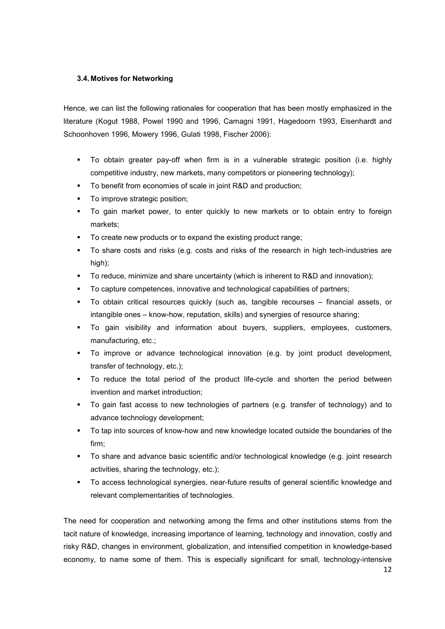# **3.4. Motives for Networking**

Hence, we can list the following rationales for cooperation that has been mostly emphasized in the literature (Kogut 1988, Powel 1990 and 1996, Camagni 1991, Hagedoorn 1993, Eisenhardt and Schoonhoven 1996, Mowery 1996, Gulati 1998, Fischer 2006):

- To obtain greater pay-off when firm is in a vulnerable strategic position (i.e. highly competitive industry, new markets, many competitors or pioneering technology);
- To benefit from economies of scale in joint R&D and production;
- To improve strategic position;
- To gain market power, to enter quickly to new markets or to obtain entry to foreign markets;
- To create new products or to expand the existing product range;
- To share costs and risks (e.g. costs and risks of the research in high tech-industries are high);
- To reduce, minimize and share uncertainty (which is inherent to R&D and innovation);
- To capture competences, innovative and technological capabilities of partners;
- To obtain critical resources quickly (such as, tangible recourses financial assets, or intangible ones – know-how, reputation, skills) and synergies of resource sharing;
- To gain visibility and information about buyers, suppliers, employees, customers, manufacturing, etc.;
- To improve or advance technological innovation (e.g. by joint product development, transfer of technology, etc.);
- To reduce the total period of the product life-cycle and shorten the period between invention and market introduction;
- To gain fast access to new technologies of partners (e.g. transfer of technology) and to advance technology development;
- To tap into sources of know-how and new knowledge located outside the boundaries of the firm;
- To share and advance basic scientific and/or technological knowledge (e.g. joint research activities, sharing the technology, etc.);
- To access technological synergies, near-future results of general scientific knowledge and relevant complementarities of technologies.

The need for cooperation and networking among the firms and other institutions stems from the tacit nature of knowledge, increasing importance of learning, technology and innovation, costly and risky R&D, changes in environment, globalization, and intensified competition in knowledge-based economy, to name some of them. This is especially significant for small, technology-intensive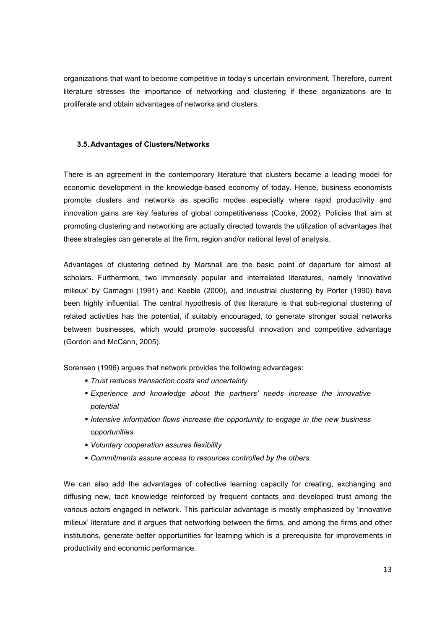organizations that want to become competitive in today's uncertain environment. Therefore, current literature stresses the importance of networking and clustering if these organizations are to proliferate and obtain advantages of networks and clusters.

#### **3.5. Advantages of Clusters/Networks**

There is an agreement in the contemporary literature that clusters became a leading model for economic development in the knowledge-based economy of today. Hence, business economists promote clusters and networks as specific modes especially where rapid productivity and innovation gains are key features of global competitiveness (Cooke, 2002). Policies that aim at promoting clustering and networking are actually directed towards the utilization of advantages that these strategies can generate at the firm, region and/or national level of analysis.

Advantages of clustering defined by Marshall are the basic point of departure for almost all scholars. Furthermore, two immensely popular and interrelated literatures, namely 'innovative milieux' by Camagni (1991) and Keeble (2000), and industrial clustering by Porter (1990) have been highly influential. The central hypothesis of this literature is that sub-regional clustering of related activities has the potential, if suitably encouraged, to generate stronger social networks between businesses, which would promote successful innovation and competitive advantage (Gordon and McCann, 2005).

Sorensen (1996) argues that network provides the following advantages:

- *Trust reduces transaction costs and uncertainty*
- *Experience and knowledge about the partners' needs increase the innovative potential*
- *Intensive information flows increase the opportunity to engage in the new business opportunities*
- *Voluntary cooperation assures flexibility*
- *Commitments assure access to resources controlled by the others.*

We can also add the advantages of collective learning capacity for creating, exchanging and diffusing new, tacit knowledge reinforced by frequent contacts and developed trust among the various actors engaged in network. This particular advantage is mostly emphasized by 'innovative milieux' literature and it argues that networking between the firms, and among the firms and other institutions, generate better opportunities for learning which is a prerequisite for improvements in productivity and economic performance.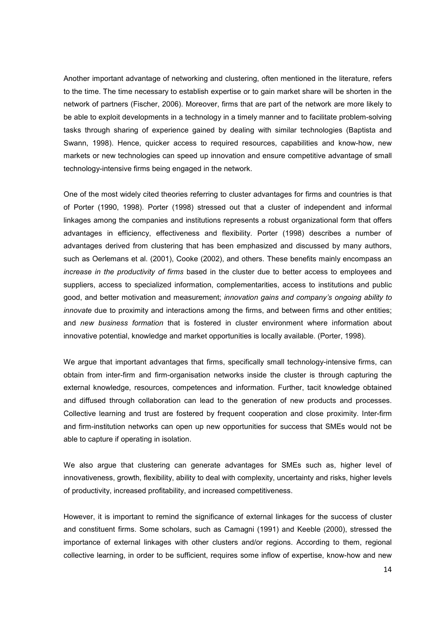Another important advantage of networking and clustering, often mentioned in the literature, refers to the time. The time necessary to establish expertise or to gain market share will be shorten in the network of partners (Fischer, 2006). Moreover, firms that are part of the network are more likely to be able to exploit developments in a technology in a timely manner and to facilitate problem-solving tasks through sharing of experience gained by dealing with similar technologies (Baptista and Swann, 1998). Hence, quicker access to required resources, capabilities and know-how, new markets or new technologies can speed up innovation and ensure competitive advantage of small technology-intensive firms being engaged in the network.

One of the most widely cited theories referring to cluster advantages for firms and countries is that of Porter (1990, 1998). Porter (1998) stressed out that a cluster of independent and informal linkages among the companies and institutions represents a robust organizational form that offers advantages in efficiency, effectiveness and flexibility. Porter (1998) describes a number of advantages derived from clustering that has been emphasized and discussed by many authors, such as Oerlemans et al. (2001), Cooke (2002), and others. These benefits mainly encompass an *increase in the productivity of firms* based in the cluster due to better access to employees and suppliers, access to specialized information, complementarities, access to institutions and public good, and better motivation and measurement; *innovation gains and company's ongoing ability to innovate* due to proximity and interactions among the firms, and between firms and other entities; and *new business formation* that is fostered in cluster environment where information about innovative potential, knowledge and market opportunities is locally available. (Porter, 1998).

We argue that important advantages that firms, specifically small technology-intensive firms, can obtain from inter-firm and firm-organisation networks inside the cluster is through capturing the external knowledge, resources, competences and information. Further, tacit knowledge obtained and diffused through collaboration can lead to the generation of new products and processes. Collective learning and trust are fostered by frequent cooperation and close proximity. Inter-firm and firm-institution networks can open up new opportunities for success that SMEs would not be able to capture if operating in isolation.

We also argue that clustering can generate advantages for SMEs such as, higher level of innovativeness, growth, flexibility, ability to deal with complexity, uncertainty and risks, higher levels of productivity, increased profitability, and increased competitiveness.

However, it is important to remind the significance of external linkages for the success of cluster and constituent firms. Some scholars, such as Camagni (1991) and Keeble (2000), stressed the importance of external linkages with other clusters and/or regions. According to them, regional collective learning, in order to be sufficient, requires some inflow of expertise, know-how and new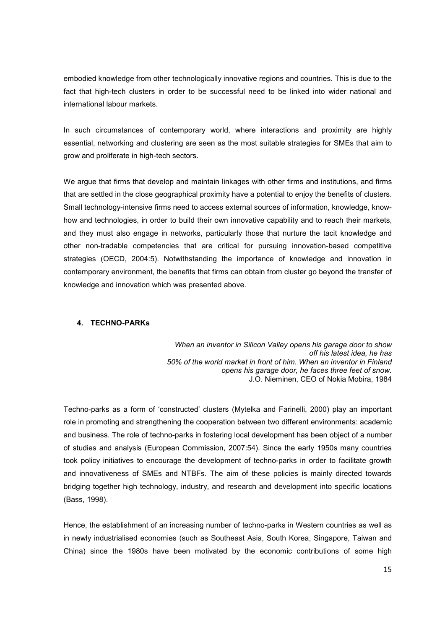embodied knowledge from other technologically innovative regions and countries. This is due to the fact that high-tech clusters in order to be successful need to be linked into wider national and international labour markets.

In such circumstances of contemporary world, where interactions and proximity are highly essential, networking and clustering are seen as the most suitable strategies for SMEs that aim to grow and proliferate in high-tech sectors.

We argue that firms that develop and maintain linkages with other firms and institutions, and firms that are settled in the close geographical proximity have a potential to enjoy the benefits of clusters. Small technology-intensive firms need to access external sources of information, knowledge, knowhow and technologies, in order to build their own innovative capability and to reach their markets, and they must also engage in networks, particularly those that nurture the tacit knowledge and other non-tradable competencies that are critical for pursuing innovation-based competitive strategies (OECD, 2004:5). Notwithstanding the importance of knowledge and innovation in contemporary environment, the benefits that firms can obtain from cluster go beyond the transfer of knowledge and innovation which was presented above.

# **4. TECHNO-PARKs**

 *When an inventor in Silicon Valley opens his garage door to show off his latest idea, he has 50% of the world market in front of him. When an inventor in Finland opens his garage door, he faces three feet of snow.* J.O. Nieminen, CEO of Nokia Mobira, 1984

Techno-parks as a form of 'constructed' clusters (Mytelka and Farinelli, 2000) play an important role in promoting and strengthening the cooperation between two different environments: academic and business. The role of techno-parks in fostering local development has been object of a number of studies and analysis (European Commission, 2007:54). Since the early 1950s many countries took policy initiatives to encourage the development of techno-parks in order to facilitate growth and innovativeness of SMEs and NTBFs. The aim of these policies is mainly directed towards bridging together high technology, industry, and research and development into specific locations (Bass, 1998).

Hence, the establishment of an increasing number of techno-parks in Western countries as well as in newly industrialised economies (such as Southeast Asia, South Korea, Singapore, Taiwan and China) since the 1980s have been motivated by the economic contributions of some high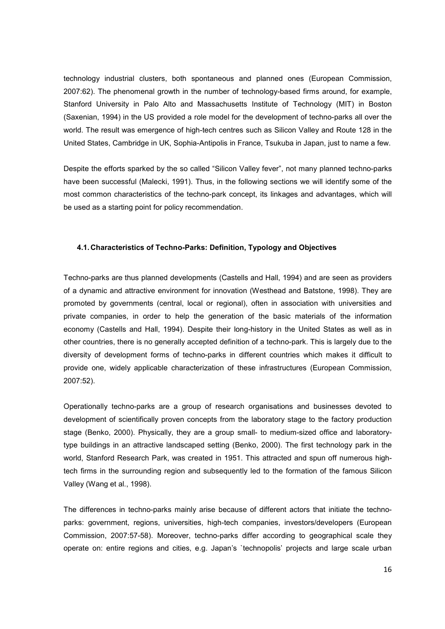technology industrial clusters, both spontaneous and planned ones (European Commission, 2007:62). The phenomenal growth in the number of technology-based firms around, for example, Stanford University in Palo Alto and Massachusetts Institute of Technology (MIT) in Boston (Saxenian, 1994) in the US provided a role model for the development of techno-parks all over the world. The result was emergence of high-tech centres such as Silicon Valley and Route 128 in the United States, Cambridge in UK, Sophia-Antipolis in France, Tsukuba in Japan, just to name a few.

Despite the efforts sparked by the so called "Silicon Valley fever", not many planned techno-parks have been successful (Malecki, 1991). Thus, in the following sections we will identify some of the most common characteristics of the techno-park concept, its linkages and advantages, which will be used as a starting point for policy recommendation.

#### **4.1. Characteristics of Techno-Parks: Definition, Typology and Objectives**

Techno-parks are thus planned developments (Castells and Hall, 1994) and are seen as providers of a dynamic and attractive environment for innovation (Westhead and Batstone, 1998). They are promoted by governments (central, local or regional), often in association with universities and private companies, in order to help the generation of the basic materials of the information economy (Castells and Hall, 1994). Despite their long-history in the United States as well as in other countries, there is no generally accepted definition of a techno-park. This is largely due to the diversity of development forms of techno-parks in different countries which makes it difficult to provide one, widely applicable characterization of these infrastructures (European Commission, 2007:52).

Operationally techno-parks are a group of research organisations and businesses devoted to development of scientifically proven concepts from the laboratory stage to the factory production stage (Benko, 2000). Physically, they are a group small- to medium-sized office and laboratorytype buildings in an attractive landscaped setting (Benko, 2000). The first technology park in the world, Stanford Research Park, was created in 1951. This attracted and spun off numerous hightech firms in the surrounding region and subsequently led to the formation of the famous Silicon Valley (Wang et al., 1998).

The differences in techno-parks mainly arise because of different actors that initiate the technoparks: government, regions, universities, high-tech companies, investors/developers (European Commission, 2007:57-58). Moreover, techno-parks differ according to geographical scale they operate on: entire regions and cities, e.g. Japan's `technopolis' projects and large scale urban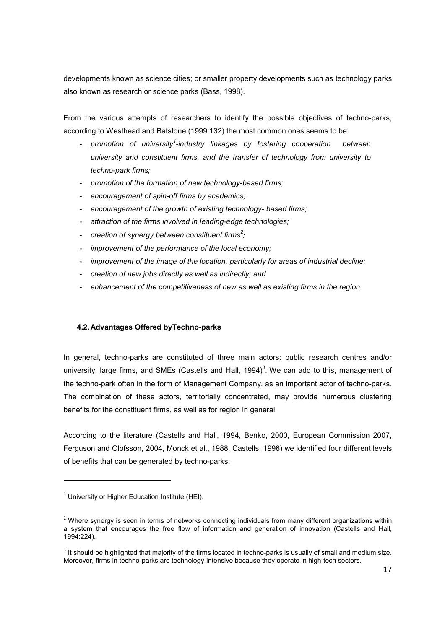developments known as science cities; or smaller property developments such as technology parks also known as research or science parks (Bass, 1998).

From the various attempts of researchers to identify the possible objectives of techno-parks, according to Westhead and Batstone (1999:132) the most common ones seems to be:

- *promotion of university<sup>1</sup> -industry linkages by fostering cooperation between university and constituent firms, and the transfer of technology from university to techno-park firms;*
- *promotion of the formation of new technology-based firms;*
- *encouragement of spin-off firms by academics;*
- *encouragement of the growth of existing technology- based firms;*
- *attraction of the firms involved in leading-edge technologies;*
- *creation of synergy between constituent firms<sup>2</sup> ;*
- *improvement of the performance of the local economy;*
- *improvement of the image of the location, particularly for areas of industrial decline;*
- *creation of new jobs directly as well as indirectly; and*
- *enhancement of the competitiveness of new as well as existing firms in the region.*

## **4.2. Advantages Offered byTechno-parks**

In general, techno-parks are constituted of three main actors: public research centres and/or university, large firms, and SMEs (Castells and Hall, 1994)<sup>3</sup>. We can add to this, management of the techno-park often in the form of Management Company, as an important actor of techno-parks. The combination of these actors, territorially concentrated, may provide numerous clustering benefits for the constituent firms, as well as for region in general.

According to the literature (Castells and Hall, 1994, Benko, 2000, European Commission 2007, Ferguson and Olofsson, 2004, Monck et al., 1988, Castells, 1996) we identified four different levels of benefits that can be generated by techno-parks:

 $1$  University or Higher Education Institute (HEI).

 $<sup>2</sup>$  Where synergy is seen in terms of networks connecting individuals from many different organizations within</sup> a system that encourages the free flow of information and generation of innovation (Castells and Hall, 1994:224).

 $3$  It should be highlighted that majority of the firms located in techno-parks is usually of small and medium size. Moreover, firms in techno-parks are technology-intensive because they operate in high-tech sectors.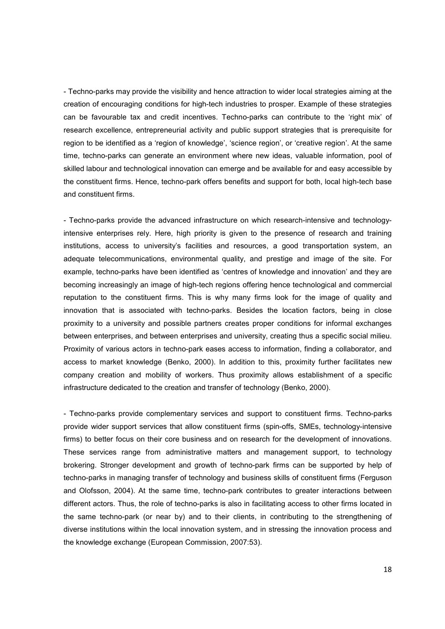- Techno-parks may provide the visibility and hence attraction to wider local strategies aiming at the creation of encouraging conditions for high-tech industries to prosper. Example of these strategies can be favourable tax and credit incentives. Techno-parks can contribute to the 'right mix' of research excellence, entrepreneurial activity and public support strategies that is prerequisite for region to be identified as a 'region of knowledge', 'science region', or 'creative region'. At the same time, techno-parks can generate an environment where new ideas, valuable information, pool of skilled labour and technological innovation can emerge and be available for and easy accessible by the constituent firms. Hence, techno-park offers benefits and support for both, local high-tech base and constituent firms.

- Techno-parks provide the advanced infrastructure on which research-intensive and technologyintensive enterprises rely. Here, high priority is given to the presence of research and training institutions, access to university's facilities and resources, a good transportation system, an adequate telecommunications, environmental quality, and prestige and image of the site. For example, techno-parks have been identified as 'centres of knowledge and innovation' and they are becoming increasingly an image of high-tech regions offering hence technological and commercial reputation to the constituent firms. This is why many firms look for the image of quality and innovation that is associated with techno-parks. Besides the location factors, being in close proximity to a university and possible partners creates proper conditions for informal exchanges between enterprises, and between enterprises and university, creating thus a specific social milieu. Proximity of various actors in techno-park eases access to information, finding a collaborator, and access to market knowledge (Benko, 2000). In addition to this, proximity further facilitates new company creation and mobility of workers. Thus proximity allows establishment of a specific infrastructure dedicated to the creation and transfer of technology (Benko, 2000).

- Techno-parks provide complementary services and support to constituent firms. Techno-parks provide wider support services that allow constituent firms (spin-offs, SMEs, technology-intensive firms) to better focus on their core business and on research for the development of innovations. These services range from administrative matters and management support, to technology brokering. Stronger development and growth of techno-park firms can be supported by help of techno-parks in managing transfer of technology and business skills of constituent firms (Ferguson and Olofsson, 2004). At the same time, techno-park contributes to greater interactions between different actors. Thus, the role of techno-parks is also in facilitating access to other firms located in the same techno-park (or near by) and to their clients, in contributing to the strengthening of diverse institutions within the local innovation system, and in stressing the innovation process and the knowledge exchange (European Commission, 2007:53).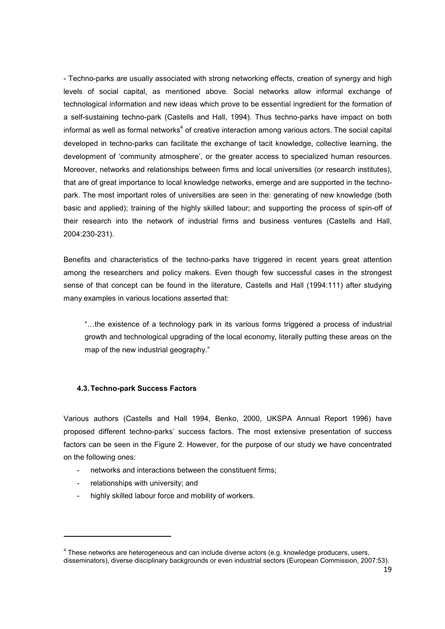- Techno-parks are usually associated with strong networking effects, creation of synergy and high levels of social capital, as mentioned above. Social networks allow informal exchange of technological information and new ideas which prove to be essential ingredient for the formation of a self-sustaining techno-park (Castells and Hall, 1994). Thus techno-parks have impact on both informal as well as formal networks<sup>4</sup> of creative interaction among various actors. The social capital developed in techno-parks can facilitate the exchange of tacit knowledge, collective learning, the development of 'community atmosphere', or the greater access to specialized human resources. Moreover, networks and relationships between firms and local universities (or research institutes), that are of great importance to local knowledge networks, emerge and are supported in the technopark. The most important roles of universities are seen in the: generating of new knowledge (both basic and applied); training of the highly skilled labour; and supporting the process of spin-off of their research into the network of industrial firms and business ventures (Castells and Hall, 2004:230-231).

Benefits and characteristics of the techno-parks have triggered in recent years great attention among the researchers and policy makers. Even though few successful cases in the strongest sense of that concept can be found in the literature, Castells and Hall (1994:111) after studying many examples in various locations asserted that:

"...the existence of a technology park in its various forms triggered a process of industrial growth and technological upgrading of the local economy, literally putting these areas on the map of the new industrial geography."

#### **4.3. Techno-park Success Factors**

Various authors (Castells and Hall 1994, Benko, 2000, UKSPA Annual Report 1996) have proposed different techno-parks' success factors. The most extensive presentation of success factors can be seen in the Figure 2. However, for the purpose of our study we have concentrated on the following ones:

- networks and interactions between the constituent firms:
- relationships with university; and

.<br>-

highly skilled labour force and mobility of workers.

 $<sup>4</sup>$  These networks are heterogeneous and can include diverse actors (e.g. knowledge producers, users,</sup> disseminators), diverse disciplinary backgrounds or even industrial sectors (European Commission, 2007:53).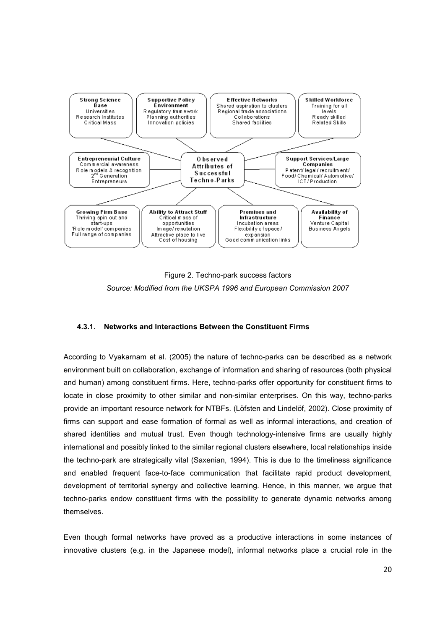

Figure 2. Techno-park success factors *Source: Modified from the UKSPA 1996 and European Commission 2007* 

#### **4.3.1. Networks and Interactions Between the Constituent Firms**

According to Vyakarnam et al. (2005) the nature of techno-parks can be described as a network environment built on collaboration, exchange of information and sharing of resources (both physical and human) among constituent firms. Here, techno-parks offer opportunity for constituent firms to locate in close proximity to other similar and non-similar enterprises. On this way, techno-parks provide an important resource network for NTBFs. (Löfsten and Lindelöf, 2002). Close proximity of firms can support and ease formation of formal as well as informal interactions, and creation of shared identities and mutual trust. Even though technology-intensive firms are usually highly international and possibly linked to the similar regional clusters elsewhere, local relationships inside the techno-park are strategically vital (Saxenian, 1994). This is due to the timeliness significance and enabled frequent face-to-face communication that facilitate rapid product development, development of territorial synergy and collective learning. Hence, in this manner, we argue that techno-parks endow constituent firms with the possibility to generate dynamic networks among themselves.

Even though formal networks have proved as a productive interactions in some instances of innovative clusters (e.g. in the Japanese model), informal networks place a crucial role in the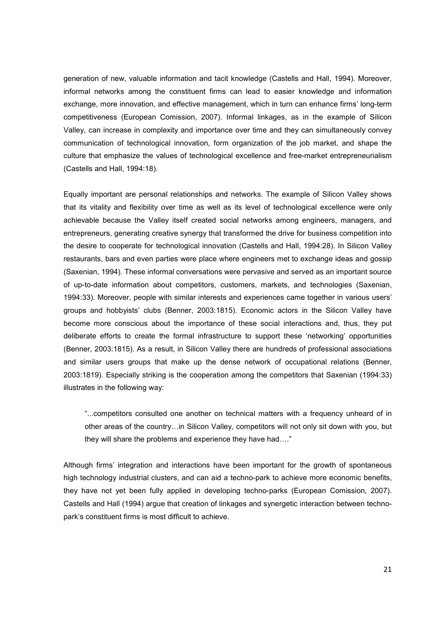generation of new, valuable information and tacit knowledge (Castells and Hall, 1994). Moreover, informal networks among the constituent firms can lead to easier knowledge and information exchange, more innovation, and effective management, which in turn can enhance firms' long-term competitiveness (European Comission, 2007). Informal linkages, as in the example of Silicon Valley, can increase in complexity and importance over time and they can simultaneously convey communication of technological innovation, form organization of the job market, and shape the culture that emphasize the values of technological excellence and free-market entrepreneurialism (Castells and Hall, 1994:18).

Equally important are personal relationships and networks. The example of Silicon Valley shows that its vitality and flexibility over time as well as its level of technological excellence were only achievable because the Valley itself created social networks among engineers, managers, and entrepreneurs, generating creative synergy that transformed the drive for business competition into the desire to cooperate for technological innovation (Castells and Hall, 1994:28). In Silicon Valley restaurants, bars and even parties were place where engineers met to exchange ideas and gossip (Saxenian, 1994). These informal conversations were pervasive and served as an important source of up-to-date information about competitors, customers, markets, and technologies (Saxenian, 1994:33). Moreover, people with similar interests and experiences came together in various users' groups and hobbyists' clubs (Benner, 2003:1815). Economic actors in the Silicon Valley have become more conscious about the importance of these social interactions and, thus, they put deliberate efforts to create the formal infrastructure to support these 'networking' opportunities (Benner, 2003:1815). As a result, in Silicon Valley there are hundreds of professional associations and similar users groups that make up the dense network of occupational relations (Benner, 2003:1819). Especially striking is the cooperation among the competitors that Saxenian (1994:33) illustrates in the following way:

"...competitors consulted one another on technical matters with a frequency unheard of in other areas of the country...in Silicon Valley, competitors will not only sit down with you, but they will share the problems and experience they have had...."

Although firms' integration and interactions have been important for the growth of spontaneous high technology industrial clusters, and can aid a techno-park to achieve more economic benefits, they have not yet been fully applied in developing techno-parks (European Comission, 2007). Castells and Hall (1994) argue that creation of linkages and synergetic interaction between technopark's constituent firms is most difficult to achieve.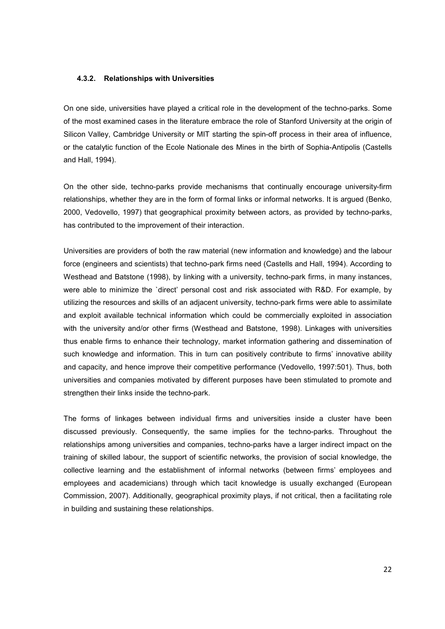#### **4.3.2. Relationships with Universities**

On one side, universities have played a critical role in the development of the techno-parks. Some of the most examined cases in the literature embrace the role of Stanford University at the origin of Silicon Valley, Cambridge University or MIT starting the spin-off process in their area of influence, or the catalytic function of the Ecole Nationale des Mines in the birth of Sophia-Antipolis (Castells and Hall, 1994).

On the other side, techno-parks provide mechanisms that continually encourage university-firm relationships, whether they are in the form of formal links or informal networks. It is argued (Benko, 2000, Vedovello, 1997) that geographical proximity between actors, as provided by techno-parks, has contributed to the improvement of their interaction.

Universities are providers of both the raw material (new information and knowledge) and the labour force (engineers and scientists) that techno-park firms need (Castells and Hall, 1994). According to Westhead and Batstone (1998), by linking with a university, techno-park firms, in many instances, were able to minimize the `direct' personal cost and risk associated with R&D. For example, by utilizing the resources and skills of an adjacent university, techno-park firms were able to assimilate and exploit available technical information which could be commercially exploited in association with the university and/or other firms (Westhead and Batstone, 1998). Linkages with universities thus enable firms to enhance their technology, market information gathering and dissemination of such knowledge and information. This in turn can positively contribute to firms' innovative ability and capacity, and hence improve their competitive performance (Vedovello, 1997:501). Thus, both universities and companies motivated by different purposes have been stimulated to promote and strengthen their links inside the techno-park.

The forms of linkages between individual firms and universities inside a cluster have been discussed previously. Consequently, the same implies for the techno-parks. Throughout the relationships among universities and companies, techno-parks have a larger indirect impact on the training of skilled labour, the support of scientific networks, the provision of social knowledge, the collective learning and the establishment of informal networks (between firms' employees and employees and academicians) through which tacit knowledge is usually exchanged (European Commission, 2007). Additionally, geographical proximity plays, if not critical, then a facilitating role in building and sustaining these relationships.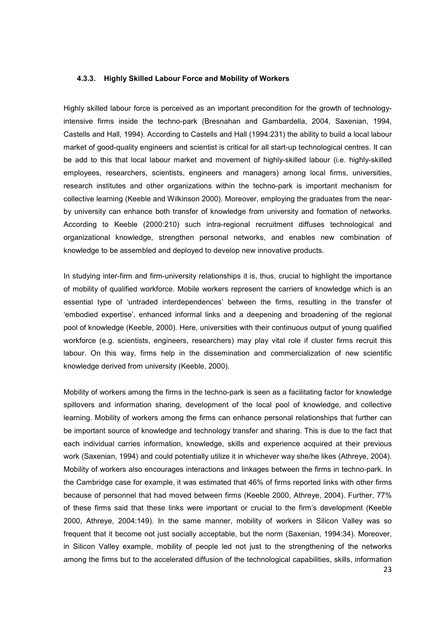#### **4.3.3. Highly Skilled Labour Force and Mobility of Workers**

Highly skilled labour force is perceived as an important precondition for the growth of technologyintensive firms inside the techno-park (Bresnahan and Gambardella, 2004, Saxenian, 1994, Castells and Hall, 1994). According to Castells and Hall (1994:231) the ability to build a local labour market of good-quality engineers and scientist is critical for all start-up technological centres. It can be add to this that local labour market and movement of highly-skilled labour (i.e. highly-skilled employees, researchers, scientists, engineers and managers) among local firms, universities, research institutes and other organizations within the techno-park is important mechanism for collective learning (Keeble and Wilkinson 2000). Moreover, employing the graduates from the nearby university can enhance both transfer of knowledge from university and formation of networks. According to Keeble (2000:210) such intra-regional recruitment diffuses technological and organizational knowledge, strengthen personal networks, and enables new combination of knowledge to be assembled and deployed to develop new innovative products.

In studying inter-firm and firm-university relationships it is, thus, crucial to highlight the importance of mobility of qualified workforce. Mobile workers represent the carriers of knowledge which is an essential type of 'untraded interdependences' between the firms, resulting in the transfer of 'embodied expertise', enhanced informal links and a deepening and broadening of the regional pool of knowledge (Keeble, 2000). Here, universities with their continuous output of young qualified workforce (e.g. scientists, engineers, researchers) may play vital role if cluster firms recruit this labour. On this way, firms help in the dissemination and commercialization of new scientific knowledge derived from university (Keeble, 2000).

Mobility of workers among the firms in the techno-park is seen as a facilitating factor for knowledge spillovers and information sharing, development of the local pool of knowledge, and collective learning. Mobility of workers among the firms can enhance personal relationships that further can be important source of knowledge and technology transfer and sharing. This is due to the fact that each individual carries information, knowledge, skills and experience acquired at their previous work (Saxenian, 1994) and could potentially utilize it in whichever way she/he likes (Athreye, 2004). Mobility of workers also encourages interactions and linkages between the firms in techno-park. In the Cambridge case for example, it was estimated that 46% of firms reported links with other firms because of personnel that had moved between firms (Keeble 2000, Athreye, 2004). Further, 77% of these firms said that these links were important or crucial to the firm's development (Keeble 2000, Athreye, 2004:149). In the same manner, mobility of workers in Silicon Valley was so frequent that it become not just socially acceptable, but the norm (Saxenian, 1994:34). Moreover, in Silicon Valley example, mobility of people led not just to the strengthening of the networks among the firms but to the accelerated diffusion of the technological capabilities, skills, information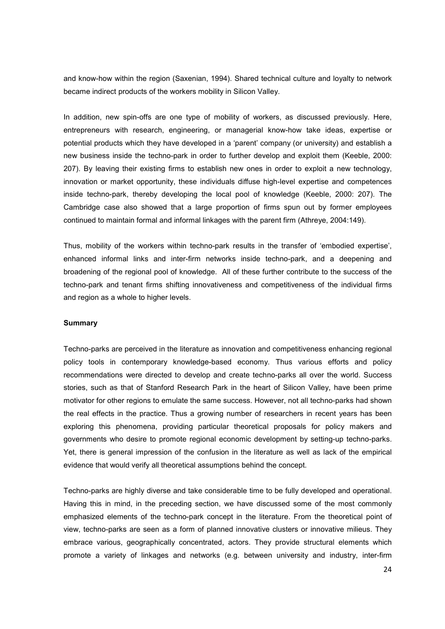and know-how within the region (Saxenian, 1994). Shared technical culture and loyalty to network became indirect products of the workers mobility in Silicon Valley.

In addition, new spin-offs are one type of mobility of workers, as discussed previously. Here, entrepreneurs with research, engineering, or managerial know-how take ideas, expertise or potential products which they have developed in a 'parent' company (or university) and establish a new business inside the techno-park in order to further develop and exploit them (Keeble, 2000: 207). By leaving their existing firms to establish new ones in order to exploit a new technology, innovation or market opportunity, these individuals diffuse high-level expertise and competences inside techno-park, thereby developing the local pool of knowledge (Keeble, 2000: 207). The Cambridge case also showed that a large proportion of firms spun out by former employees continued to maintain formal and informal linkages with the parent firm (Athreye, 2004:149).

Thus, mobility of the workers within techno-park results in the transfer of 'embodied expertise', enhanced informal links and inter-firm networks inside techno-park, and a deepening and broadening of the regional pool of knowledge. All of these further contribute to the success of the techno-park and tenant firms shifting innovativeness and competitiveness of the individual firms and region as a whole to higher levels.

#### **Summary**

Techno-parks are perceived in the literature as innovation and competitiveness enhancing regional policy tools in contemporary knowledge-based economy. Thus various efforts and policy recommendations were directed to develop and create techno-parks all over the world. Success stories, such as that of Stanford Research Park in the heart of Silicon Valley, have been prime motivator for other regions to emulate the same success. However, not all techno-parks had shown the real effects in the practice. Thus a growing number of researchers in recent years has been exploring this phenomena, providing particular theoretical proposals for policy makers and governments who desire to promote regional economic development by setting-up techno-parks. Yet, there is general impression of the confusion in the literature as well as lack of the empirical evidence that would verify all theoretical assumptions behind the concept.

Techno-parks are highly diverse and take considerable time to be fully developed and operational. Having this in mind, in the preceding section, we have discussed some of the most commonly emphasized elements of the techno-park concept in the literature. From the theoretical point of view, techno-parks are seen as a form of planned innovative clusters or innovative milieus. They embrace various, geographically concentrated, actors. They provide structural elements which promote a variety of linkages and networks (e.g. between university and industry, inter-firm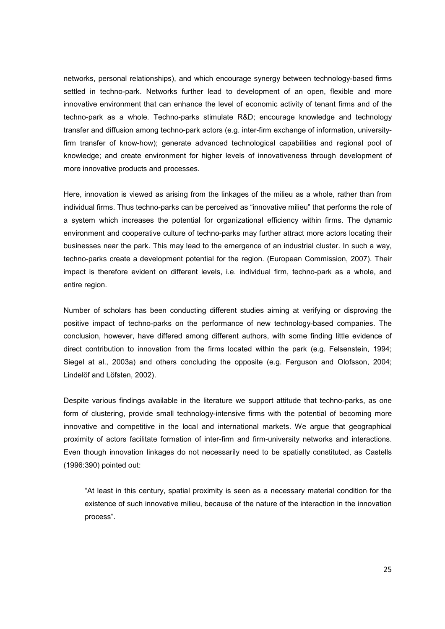networks, personal relationships), and which encourage synergy between technology-based firms settled in techno-park. Networks further lead to development of an open, flexible and more innovative environment that can enhance the level of economic activity of tenant firms and of the techno-park as a whole. Techno-parks stimulate R&D; encourage knowledge and technology transfer and diffusion among techno-park actors (e.g. inter-firm exchange of information, universityfirm transfer of know-how); generate advanced technological capabilities and regional pool of knowledge; and create environment for higher levels of innovativeness through development of more innovative products and processes.

Here, innovation is viewed as arising from the linkages of the milieu as a whole, rather than from individual firms. Thus techno-parks can be perceived as "innovative milieu" that performs the role of a system which increases the potential for organizational efficiency within firms. The dynamic environment and cooperative culture of techno-parks may further attract more actors locating their businesses near the park. This may lead to the emergence of an industrial cluster. In such a way, techno-parks create a development potential for the region. (European Commission, 2007). Their impact is therefore evident on different levels, i.e. individual firm, techno-park as a whole, and entire region.

Number of scholars has been conducting different studies aiming at verifying or disproving the positive impact of techno-parks on the performance of new technology-based companies. The conclusion, however, have differed among different authors, with some finding little evidence of direct contribution to innovation from the firms located within the park (e.g. Felsenstein, 1994; Siegel at al., 2003a) and others concluding the opposite (e.g. Ferguson and Olofsson, 2004; Lindelöf and Löfsten, 2002).

Despite various findings available in the literature we support attitude that techno-parks, as one form of clustering, provide small technology-intensive firms with the potential of becoming more innovative and competitive in the local and international markets. We argue that geographical proximity of actors facilitate formation of inter-firm and firm-university networks and interactions. Even though innovation linkages do not necessarily need to be spatially constituted, as Castells (1996:390) pointed out:

"At least in this century, spatial proximity is seen as a necessary material condition for the existence of such innovative milieu, because of the nature of the interaction in the innovation process".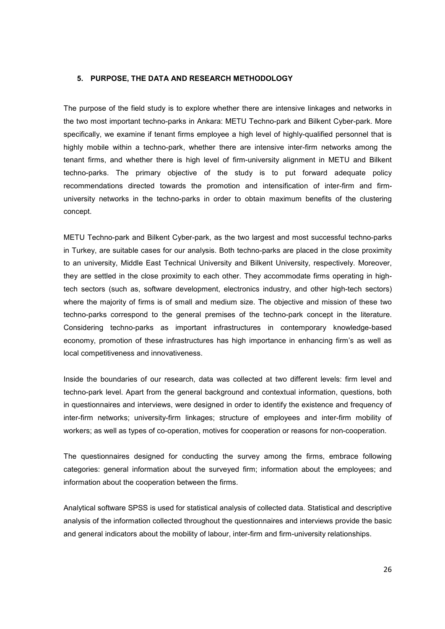#### **5. PURPOSE, THE DATA AND RESEARCH METHODOLOGY**

The purpose of the field study is to explore whether there are intensive linkages and networks in the two most important techno-parks in Ankara: METU Techno-park and Bilkent Cyber-park. More specifically, we examine if tenant firms employee a high level of highly-qualified personnel that is highly mobile within a techno-park, whether there are intensive inter-firm networks among the tenant firms, and whether there is high level of firm-university alignment in METU and Bilkent techno-parks. The primary objective of the study is to put forward adequate policy recommendations directed towards the promotion and intensification of inter-firm and firmuniversity networks in the techno-parks in order to obtain maximum benefits of the clustering concept.

METU Techno-park and Bilkent Cyber-park, as the two largest and most successful techno-parks in Turkey, are suitable cases for our analysis. Both techno-parks are placed in the close proximity to an university, Middle East Technical University and Bilkent University, respectively. Moreover, they are settled in the close proximity to each other. They accommodate firms operating in hightech sectors (such as, software development, electronics industry, and other high-tech sectors) where the majority of firms is of small and medium size. The objective and mission of these two techno-parks correspond to the general premises of the techno-park concept in the literature. Considering techno-parks as important infrastructures in contemporary knowledge-based economy, promotion of these infrastructures has high importance in enhancing firm's as well as local competitiveness and innovativeness.

Inside the boundaries of our research, data was collected at two different levels: firm level and techno-park level. Apart from the general background and contextual information, questions, both in questionnaires and interviews, were designed in order to identify the existence and frequency of inter-firm networks; university-firm linkages; structure of employees and inter-firm mobility of workers; as well as types of co-operation, motives for cooperation or reasons for non-cooperation.

The questionnaires designed for conducting the survey among the firms, embrace following categories: general information about the surveyed firm; information about the employees; and information about the cooperation between the firms.

Analytical software SPSS is used for statistical analysis of collected data. Statistical and descriptive analysis of the information collected throughout the questionnaires and interviews provide the basic and general indicators about the mobility of labour, inter-firm and firm-university relationships.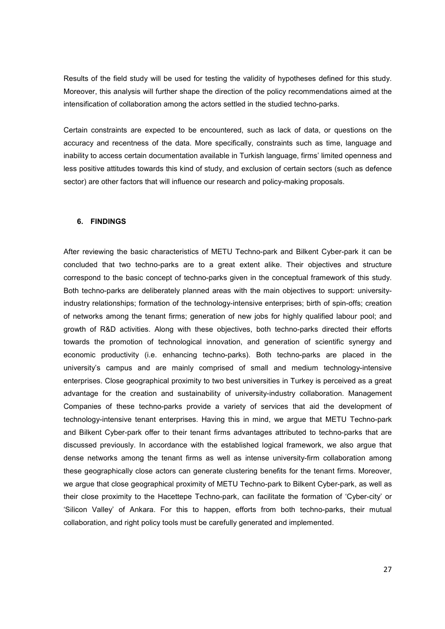Results of the field study will be used for testing the validity of hypotheses defined for this study. Moreover, this analysis will further shape the direction of the policy recommendations aimed at the intensification of collaboration among the actors settled in the studied techno-parks.

Certain constraints are expected to be encountered, such as lack of data, or questions on the accuracy and recentness of the data. More specifically, constraints such as time, language and inability to access certain documentation available in Turkish language, firms' limited openness and less positive attitudes towards this kind of study, and exclusion of certain sectors (such as defence sector) are other factors that will influence our research and policy-making proposals.

#### **6. FINDINGS**

After reviewing the basic characteristics of METU Techno-park and Bilkent Cyber-park it can be concluded that two techno-parks are to a great extent alike. Their objectives and structure correspond to the basic concept of techno-parks given in the conceptual framework of this study. Both techno-parks are deliberately planned areas with the main objectives to support: universityindustry relationships; formation of the technology-intensive enterprises; birth of spin-offs; creation of networks among the tenant firms; generation of new jobs for highly qualified labour pool; and growth of R&D activities. Along with these objectives, both techno-parks directed their efforts towards the promotion of technological innovation, and generation of scientific synergy and economic productivity (i.e. enhancing techno-parks). Both techno-parks are placed in the university's campus and are mainly comprised of small and medium technology-intensive enterprises. Close geographical proximity to two best universities in Turkey is perceived as a great advantage for the creation and sustainability of university-industry collaboration. Management Companies of these techno-parks provide a variety of services that aid the development of technology-intensive tenant enterprises. Having this in mind, we argue that METU Techno-park and Bilkent Cyber-park offer to their tenant firms advantages attributed to techno-parks that are discussed previously. In accordance with the established logical framework, we also argue that dense networks among the tenant firms as well as intense university-firm collaboration among these geographically close actors can generate clustering benefits for the tenant firms. Moreover, we argue that close geographical proximity of METU Techno-park to Bilkent Cyber-park, as well as their close proximity to the Hacettepe Techno-park, can facilitate the formation of 'Cyber-city' or 'Silicon Valley' of Ankara. For this to happen, efforts from both techno-parks, their mutual collaboration, and right policy tools must be carefully generated and implemented.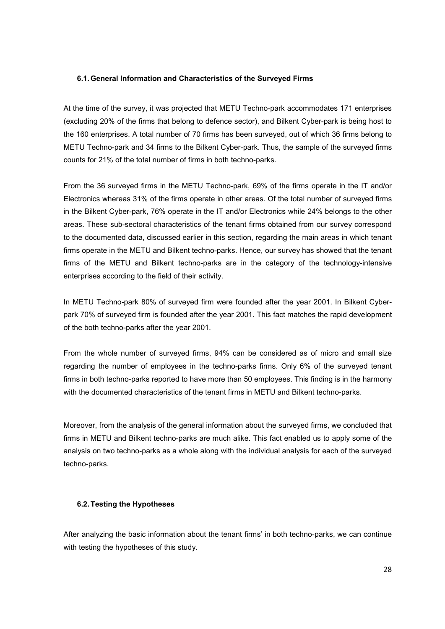#### **6.1. General Information and Characteristics of the Surveyed Firms**

At the time of the survey, it was projected that METU Techno-park accommodates 171 enterprises (excluding 20% of the firms that belong to defence sector), and Bilkent Cyber-park is being host to the 160 enterprises. A total number of 70 firms has been surveyed, out of which 36 firms belong to METU Techno-park and 34 firms to the Bilkent Cyber-park. Thus, the sample of the surveyed firms counts for 21% of the total number of firms in both techno-parks.

From the 36 surveyed firms in the METU Techno-park, 69% of the firms operate in the IT and/or Electronics whereas 31% of the firms operate in other areas. Of the total number of surveyed firms in the Bilkent Cyber-park, 76% operate in the IT and/or Electronics while 24% belongs to the other areas. These sub-sectoral characteristics of the tenant firms obtained from our survey correspond to the documented data, discussed earlier in this section, regarding the main areas in which tenant firms operate in the METU and Bilkent techno-parks. Hence, our survey has showed that the tenant firms of the METU and Bilkent techno-parks are in the category of the technology-intensive enterprises according to the field of their activity.

In METU Techno-park 80% of surveyed firm were founded after the year 2001. In Bilkent Cyberpark 70% of surveyed firm is founded after the year 2001. This fact matches the rapid development of the both techno-parks after the year 2001.

From the whole number of surveyed firms, 94% can be considered as of micro and small size regarding the number of employees in the techno-parks firms. Only 6% of the surveyed tenant firms in both techno-parks reported to have more than 50 employees. This finding is in the harmony with the documented characteristics of the tenant firms in METU and Bilkent techno-parks.

Moreover, from the analysis of the general information about the surveyed firms, we concluded that firms in METU and Bilkent techno-parks are much alike. This fact enabled us to apply some of the analysis on two techno-parks as a whole along with the individual analysis for each of the surveyed techno-parks.

#### **6.2. Testing the Hypotheses**

After analyzing the basic information about the tenant firms' in both techno-parks, we can continue with testing the hypotheses of this study.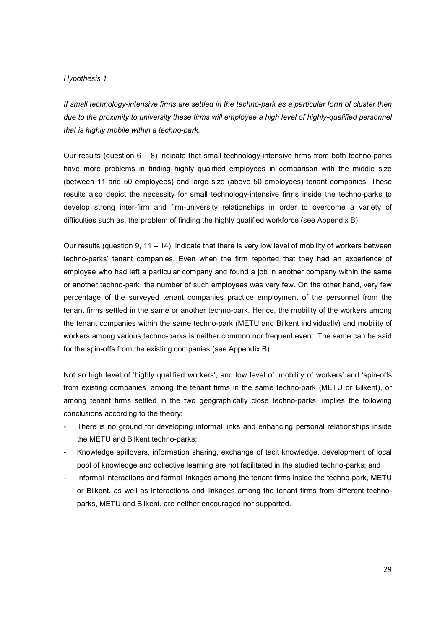#### *Hypothesis 1*

*If small technology-intensive firms are settled in the techno-park as a particular form of cluster then*  due to the proximity to university these firms will employee a high level of highly-qualified personnel *that is highly mobile within a techno-park.* 

Our results (question 6 – 8) indicate that small technology-intensive firms from both techno-parks have more problems in finding highly qualified employees in comparison with the middle size (between 11 and 50 employees) and large size (above 50 employees) tenant companies. These results also depict the necessity for small technology-intensive firms inside the techno-parks to develop strong inter-firm and firm-university relationships in order to overcome a variety of difficulties such as, the problem of finding the highly qualified workforce (see Appendix B).

Our results (question 9, 11 – 14), indicate that there is very low level of mobility of workers between techno-parks' tenant companies. Even when the firm reported that they had an experience of employee who had left a particular company and found a job in another company within the same or another techno-park, the number of such employees was very few. On the other hand, very few percentage of the surveyed tenant companies practice employment of the personnel from the tenant firms settled in the same or another techno-park. Hence, the mobility of the workers among the tenant companies within the same techno-park (METU and Bilkent individually) and mobility of workers among various techno-parks is neither common nor frequent event. The same can be said for the spin-offs from the existing companies (see Appendix B).

Not so high level of 'highly qualified workers', and low level of 'mobility of workers' and 'spin-offs from existing companies' among the tenant firms in the same techno-park (METU or Bilkent), or among tenant firms settled in the two geographically close techno-parks, implies the following conclusions according to the theory:

- There is no ground for developing informal links and enhancing personal relationships inside the METU and Bilkent techno-parks;
- Knowledge spillovers, information sharing, exchange of tacit knowledge, development of local pool of knowledge and collective learning are not facilitated in the studied techno-parks; and
- Informal interactions and formal linkages among the tenant firms inside the techno-park, METU or Bilkent, as well as interactions and linkages among the tenant firms from different technoparks, METU and Bilkent, are neither encouraged nor supported.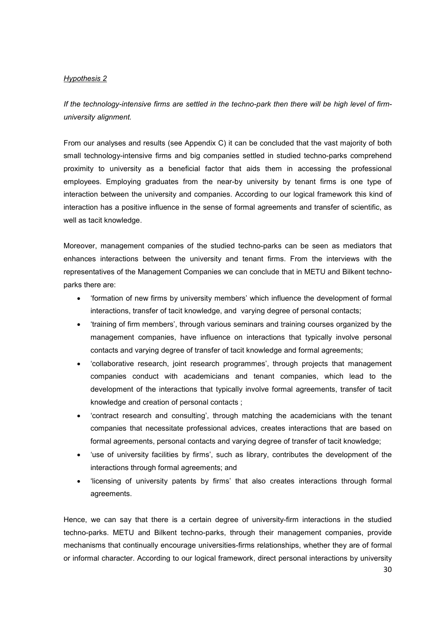# *Hypothesis 2*

*If the technology-intensive firms are settled in the techno-park then there will be high level of firmuniversity alignment.* 

From our analyses and results (see Appendix C) it can be concluded that the vast majority of both small technology-intensive firms and big companies settled in studied techno-parks comprehend proximity to university as a beneficial factor that aids them in accessing the professional employees. Employing graduates from the near-by university by tenant firms is one type of interaction between the university and companies. According to our logical framework this kind of interaction has a positive influence in the sense of formal agreements and transfer of scientific, as well as tacit knowledge.

Moreover, management companies of the studied techno-parks can be seen as mediators that enhances interactions between the university and tenant firms. From the interviews with the representatives of the Management Companies we can conclude that in METU and Bilkent technoparks there are:

- 'formation of new firms by university members' which influence the development of formal interactions, transfer of tacit knowledge, and varying degree of personal contacts;
- 'training of firm members', through various seminars and training courses organized by the management companies, have influence on interactions that typically involve personal contacts and varying degree of transfer of tacit knowledge and formal agreements;
- 'collaborative research, joint research programmes', through projects that management companies conduct with academicians and tenant companies, which lead to the development of the interactions that typically involve formal agreements, transfer of tacit knowledge and creation of personal contacts ;
- 'contract research and consulting', through matching the academicians with the tenant companies that necessitate professional advices, creates interactions that are based on formal agreements, personal contacts and varying degree of transfer of tacit knowledge;
- 'use of university facilities by firms', such as library, contributes the development of the interactions through formal agreements; and
- 'licensing of university patents by firms' that also creates interactions through formal agreements.

Hence, we can say that there is a certain degree of university-firm interactions in the studied techno-parks. METU and Bilkent techno-parks, through their management companies, provide mechanisms that continually encourage universities-firms relationships, whether they are of formal or informal character. According to our logical framework, direct personal interactions by university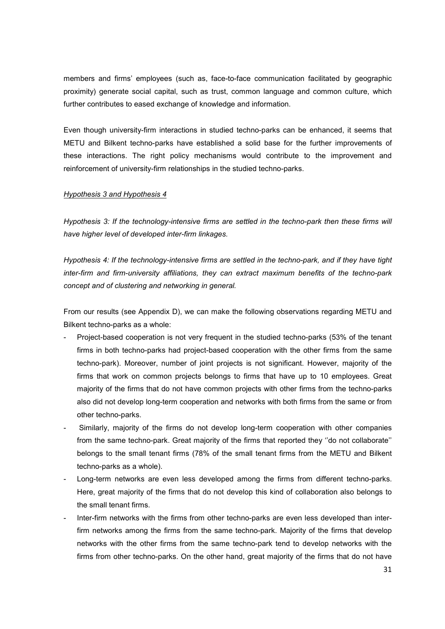members and firms' employees (such as, face-to-face communication facilitated by geographic proximity) generate social capital, such as trust, common language and common culture, which further contributes to eased exchange of knowledge and information.

Even though university-firm interactions in studied techno-parks can be enhanced, it seems that METU and Bilkent techno-parks have established a solid base for the further improvements of these interactions. The right policy mechanisms would contribute to the improvement and reinforcement of university-firm relationships in the studied techno-parks.

#### *Hypothesis 3 and Hypothesis 4*

*Hypothesis 3: If the technology-intensive firms are settled in the techno-park then these firms will have higher level of developed inter-firm linkages.*

*Hypothesis 4: If the technology-intensive firms are settled in the techno-park, and if they have tight inter-firm and firm-university affiliations, they can extract maximum benefits of the techno-park concept and of clustering and networking in general.* 

From our results (see Appendix D), we can make the following observations regarding METU and Bilkent techno-parks as a whole:

- Project-based cooperation is not very frequent in the studied techno-parks (53% of the tenant firms in both techno-parks had project-based cooperation with the other firms from the same techno-park). Moreover, number of joint projects is not significant. However, majority of the firms that work on common projects belongs to firms that have up to 10 employees. Great majority of the firms that do not have common projects with other firms from the techno-parks also did not develop long-term cooperation and networks with both firms from the same or from other techno-parks.
- Similarly, majority of the firms do not develop long-term cooperation with other companies from the same techno-park. Great majority of the firms that reported they ''do not collaborate'' belongs to the small tenant firms (78% of the small tenant firms from the METU and Bilkent techno-parks as a whole).
- Long-term networks are even less developed among the firms from different techno-parks. Here, great majority of the firms that do not develop this kind of collaboration also belongs to the small tenant firms.
- Inter-firm networks with the firms from other techno-parks are even less developed than interfirm networks among the firms from the same techno-park. Majority of the firms that develop networks with the other firms from the same techno-park tend to develop networks with the firms from other techno-parks. On the other hand, great majority of the firms that do not have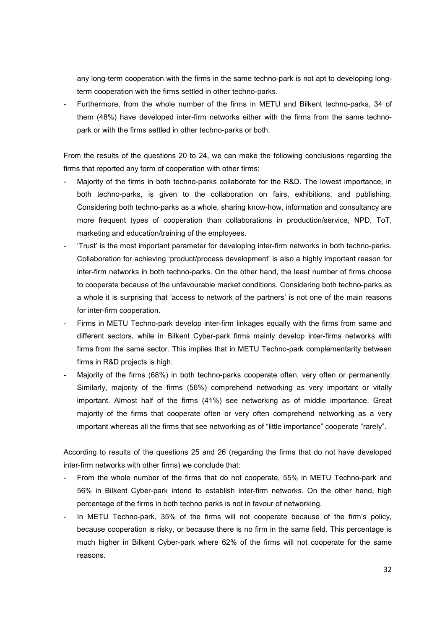any long-term cooperation with the firms in the same techno-park is not apt to developing longterm cooperation with the firms settled in other techno-parks.

Furthermore, from the whole number of the firms in METU and Bilkent techno-parks, 34 of them (48%) have developed inter-firm networks either with the firms from the same technopark or with the firms settled in other techno-parks or both.

From the results of the questions 20 to 24, we can make the following conclusions regarding the firms that reported any form of cooperation with other firms:

- Majority of the firms in both techno-parks collaborate for the R&D. The lowest importance, in both techno-parks, is given to the collaboration on fairs, exhibitions, and publishing. Considering both techno-parks as a whole, sharing know-how, information and consultancy are more frequent types of cooperation than collaborations in production/service, NPD, ToT, marketing and education/training of the employees.
- 'Trust' is the most important parameter for developing inter-firm networks in both techno-parks. Collaboration for achieving 'product/process development' is also a highly important reason for inter-firm networks in both techno-parks. On the other hand, the least number of firms choose to cooperate because of the unfavourable market conditions. Considering both techno-parks as a whole it is surprising that 'access to network of the partners' is not one of the main reasons for inter-firm cooperation.
- Firms in METU Techno-park develop inter-firm linkages equally with the firms from same and different sectors, while in Bilkent Cyber-park firms mainly develop inter-firms networks with firms from the same sector. This implies that in METU Techno-park complementarity between firms in R&D projects is high.
- Majority of the firms (68%) in both techno-parks cooperate often, very often or permanently. Similarly, majority of the firms (56%) comprehend networking as very important or vitally important. Almost half of the firms (41%) see networking as of middle importance. Great majority of the firms that cooperate often or very often comprehend networking as a very important whereas all the firms that see networking as of "little importance" cooperate "rarely".

According to results of the questions 25 and 26 (regarding the firms that do not have developed inter-firm networks with other firms) we conclude that:

- From the whole number of the firms that do not cooperate, 55% in METU Techno-park and 56% in Bilkent Cyber-park intend to establish inter-firm networks. On the other hand, high percentage of the firms in both techno parks is not in favour of networking.
- In METU Techno-park, 35% of the firms will not cooperate because of the firm's policy, because cooperation is risky, or because there is no firm in the same field. This percentage is much higher in Bilkent Cyber-park where 62% of the firms will not cooperate for the same reasons.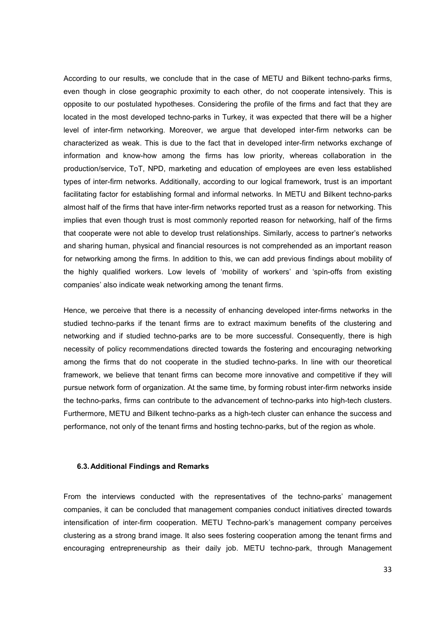According to our results, we conclude that in the case of METU and Bilkent techno-parks firms, even though in close geographic proximity to each other, do not cooperate intensively. This is opposite to our postulated hypotheses. Considering the profile of the firms and fact that they are located in the most developed techno-parks in Turkey, it was expected that there will be a higher level of inter-firm networking. Moreover, we argue that developed inter-firm networks can be characterized as weak. This is due to the fact that in developed inter-firm networks exchange of information and know-how among the firms has low priority, whereas collaboration in the production/service, ToT, NPD, marketing and education of employees are even less established types of inter-firm networks. Additionally, according to our logical framework, trust is an important facilitating factor for establishing formal and informal networks. In METU and Bilkent techno-parks almost half of the firms that have inter-firm networks reported trust as a reason for networking. This implies that even though trust is most commonly reported reason for networking, half of the firms that cooperate were not able to develop trust relationships. Similarly, access to partner's networks and sharing human, physical and financial resources is not comprehended as an important reason for networking among the firms. In addition to this, we can add previous findings about mobility of the highly qualified workers. Low levels of 'mobility of workers' and 'spin-offs from existing companies' also indicate weak networking among the tenant firms.

Hence, we perceive that there is a necessity of enhancing developed inter-firms networks in the studied techno-parks if the tenant firms are to extract maximum benefits of the clustering and networking and if studied techno-parks are to be more successful. Consequently, there is high necessity of policy recommendations directed towards the fostering and encouraging networking among the firms that do not cooperate in the studied techno-parks. In line with our theoretical framework, we believe that tenant firms can become more innovative and competitive if they will pursue network form of organization. At the same time, by forming robust inter-firm networks inside the techno-parks, firms can contribute to the advancement of techno-parks into high-tech clusters. Furthermore, METU and Bilkent techno-parks as a high-tech cluster can enhance the success and performance, not only of the tenant firms and hosting techno-parks, but of the region as whole.

#### **6.3. Additional Findings and Remarks**

From the interviews conducted with the representatives of the techno-parks' management companies, it can be concluded that management companies conduct initiatives directed towards intensification of inter-firm cooperation. METU Techno-park's management company perceives clustering as a strong brand image. It also sees fostering cooperation among the tenant firms and encouraging entrepreneurship as their daily job. METU techno-park, through Management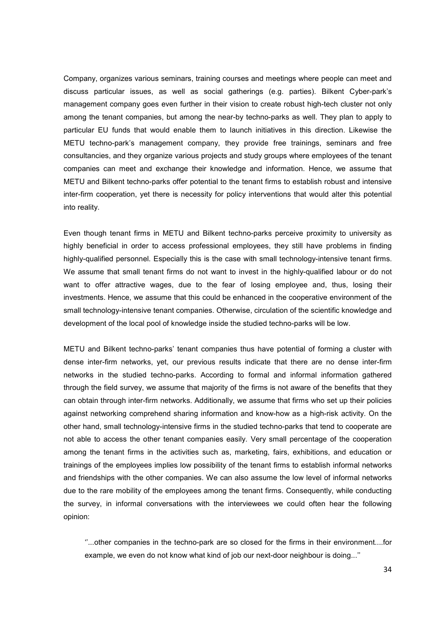Company, organizes various seminars, training courses and meetings where people can meet and discuss particular issues, as well as social gatherings (e.g. parties). Bilkent Cyber-park's management company goes even further in their vision to create robust high-tech cluster not only among the tenant companies, but among the near-by techno-parks as well. They plan to apply to particular EU funds that would enable them to launch initiatives in this direction. Likewise the METU techno-park's management company, they provide free trainings, seminars and free consultancies, and they organize various projects and study groups where employees of the tenant companies can meet and exchange their knowledge and information. Hence, we assume that METU and Bilkent techno-parks offer potential to the tenant firms to establish robust and intensive inter-firm cooperation, yet there is necessity for policy interventions that would alter this potential into reality.

Even though tenant firms in METU and Bilkent techno-parks perceive proximity to university as highly beneficial in order to access professional employees, they still have problems in finding highly-qualified personnel. Especially this is the case with small technology-intensive tenant firms. We assume that small tenant firms do not want to invest in the highly-qualified labour or do not want to offer attractive wages, due to the fear of losing employee and, thus, losing their investments. Hence, we assume that this could be enhanced in the cooperative environment of the small technology-intensive tenant companies. Otherwise, circulation of the scientific knowledge and development of the local pool of knowledge inside the studied techno-parks will be low.

METU and Bilkent techno-parks' tenant companies thus have potential of forming a cluster with dense inter-firm networks, yet, our previous results indicate that there are no dense inter-firm networks in the studied techno-parks. According to formal and informal information gathered through the field survey, we assume that majority of the firms is not aware of the benefits that they can obtain through inter-firm networks. Additionally, we assume that firms who set up their policies against networking comprehend sharing information and know-how as a high-risk activity. On the other hand, small technology-intensive firms in the studied techno-parks that tend to cooperate are not able to access the other tenant companies easily. Very small percentage of the cooperation among the tenant firms in the activities such as, marketing, fairs, exhibitions, and education or trainings of the employees implies low possibility of the tenant firms to establish informal networks and friendships with the other companies. We can also assume the low level of informal networks due to the rare mobility of the employees among the tenant firms. Consequently, while conducting the survey, in informal conversations with the interviewees we could often hear the following opinion:

''...other companies in the techno-park are so closed for the firms in their environment....for example, we even do not know what kind of job our next-door neighbour is doing...''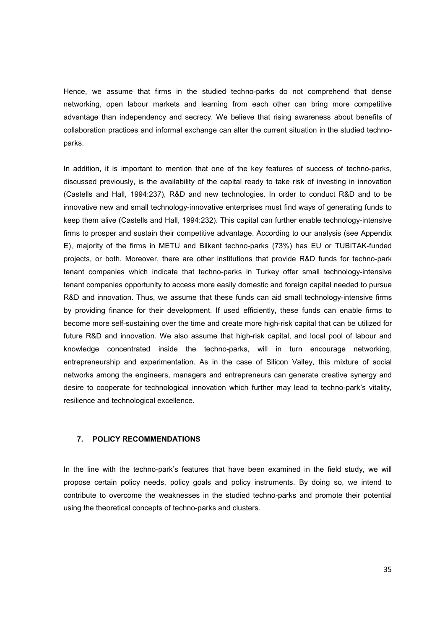Hence, we assume that firms in the studied techno-parks do not comprehend that dense networking, open labour markets and learning from each other can bring more competitive advantage than independency and secrecy. We believe that rising awareness about benefits of collaboration practices and informal exchange can alter the current situation in the studied technoparks.

In addition, it is important to mention that one of the key features of success of techno-parks, discussed previously, is the availability of the capital ready to take risk of investing in innovation (Castells and Hall, 1994:237), R&D and new technologies. In order to conduct R&D and to be innovative new and small technology-innovative enterprises must find ways of generating funds to keep them alive (Castells and Hall, 1994:232). This capital can further enable technology-intensive firms to prosper and sustain their competitive advantage. According to our analysis (see Appendix E), majority of the firms in METU and Bilkent techno-parks (73%) has EU or TUBITAK-funded projects, or both. Moreover, there are other institutions that provide R&D funds for techno-park tenant companies which indicate that techno-parks in Turkey offer small technology-intensive tenant companies opportunity to access more easily domestic and foreign capital needed to pursue R&D and innovation. Thus, we assume that these funds can aid small technology-intensive firms by providing finance for their development. If used efficiently, these funds can enable firms to become more self-sustaining over the time and create more high-risk capital that can be utilized for future R&D and innovation. We also assume that high-risk capital, and local pool of labour and knowledge concentrated inside the techno-parks, will in turn encourage networking, entrepreneurship and experimentation. As in the case of Silicon Valley, this mixture of social networks among the engineers, managers and entrepreneurs can generate creative synergy and desire to cooperate for technological innovation which further may lead to techno-park's vitality, resilience and technological excellence.

# **7. POLICY RECOMMENDATIONS**

In the line with the techno-park's features that have been examined in the field study, we will propose certain policy needs, policy goals and policy instruments. By doing so, we intend to contribute to overcome the weaknesses in the studied techno-parks and promote their potential using the theoretical concepts of techno-parks and clusters.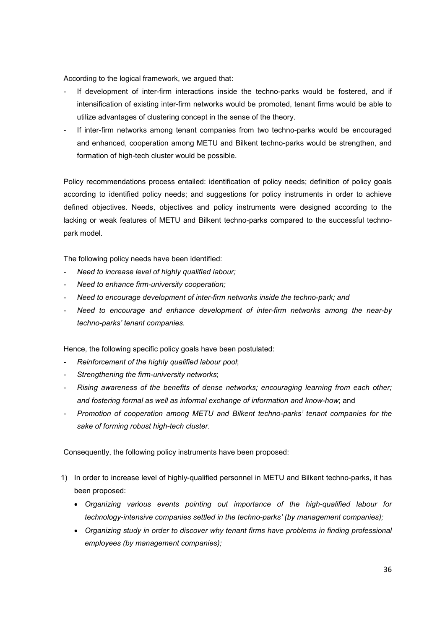According to the logical framework, we argued that:

- If development of inter-firm interactions inside the techno-parks would be fostered, and if intensification of existing inter-firm networks would be promoted, tenant firms would be able to utilize advantages of clustering concept in the sense of the theory.
- If inter-firm networks among tenant companies from two techno-parks would be encouraged and enhanced, cooperation among METU and Bilkent techno-parks would be strengthen, and formation of high-tech cluster would be possible.

Policy recommendations process entailed: identification of policy needs; definition of policy goals according to identified policy needs; and suggestions for policy instruments in order to achieve defined objectives. Needs, objectives and policy instruments were designed according to the lacking or weak features of METU and Bilkent techno-parks compared to the successful technopark model.

The following policy needs have been identified:

- *Need to increase level of highly qualified labour;*
- *Need to enhance firm-university cooperation;*
- *Need to encourage development of inter-firm networks inside the techno-park; and*
- *Need to encourage and enhance development of inter-firm networks among the near-by techno-parks' tenant companies.*

Hence, the following specific policy goals have been postulated:

- *Reinforcement of the highly qualified labour pool*;
- *Strengthening the firm-university networks*;
- *Rising awareness of the benefits of dense networks; encouraging learning from each other; and fostering formal as well as informal exchange of information and know-how*; and
- *Promotion of cooperation among METU and Bilkent techno-parks' tenant companies for the sake of forming robust high-tech cluster*.

Consequently, the following policy instruments have been proposed:

- 1) In order to increase level of highly-qualified personnel in METU and Bilkent techno-parks, it has been proposed:
	- *Organizing various events pointing out importance of the high-qualified labour for technology-intensive companies settled in the techno-parks' (by management companies);*
	- *Organizing study in order to discover why tenant firms have problems in finding professional employees (by management companies);*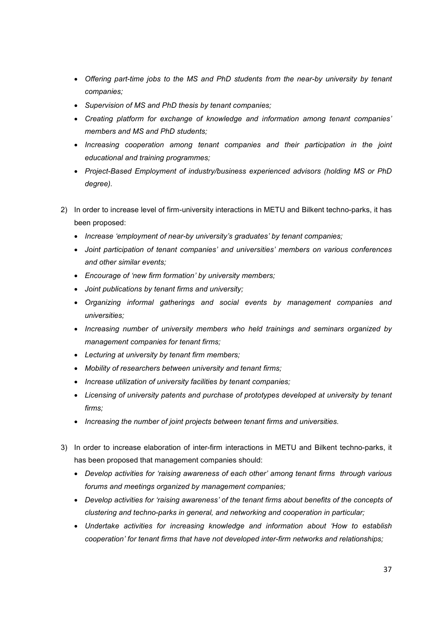- *Offering part-time jobs to the MS and PhD students from the near-by university by tenant companies;*
- *Supervision of MS and PhD thesis by tenant companies;*
- *Creating platform for exchange of knowledge and information among tenant companies' members and MS and PhD students;*
- *Increasing cooperation among tenant companies and their participation in the joint educational and training programmes;*
- *Project-Based Employment of industry/business experienced advisors (holding MS or PhD degree).*
- 2) In order to increase level of firm-university interactions in METU and Bilkent techno-parks, it has been proposed:
	- *Increase 'employment of near-by university's graduates' by tenant companies;*
	- *Joint participation of tenant companies' and universities' members on various conferences and other similar events;*
	- *Encourage of 'new firm formation' by university members;*
	- *Joint publications by tenant firms and university;*
	- *Organizing informal gatherings and social events by management companies and universities;*
	- *Increasing number of university members who held trainings and seminars organized by management companies for tenant firms;*
	- *Lecturing at university by tenant firm members;*
	- *Mobility of researchers between university and tenant firms;*
	- *Increase utilization of university facilities by tenant companies;*
	- *Licensing of university patents and purchase of prototypes developed at university by tenant firms;*
	- *Increasing the number of joint projects between tenant firms and universities.*
- 3) In order to increase elaboration of inter-firm interactions in METU and Bilkent techno-parks, it has been proposed that management companies should:
	- *Develop activities for 'raising awareness of each other' among tenant firms through various forums and meetings organized by management companies;*
	- *Develop activities for 'raising awareness' of the tenant firms about benefits of the concepts of clustering and techno-parks in general, and networking and cooperation in particular;*
	- *Undertake activities for increasing knowledge and information about 'How to establish cooperation' for tenant firms that have not developed inter-firm networks and relationships;*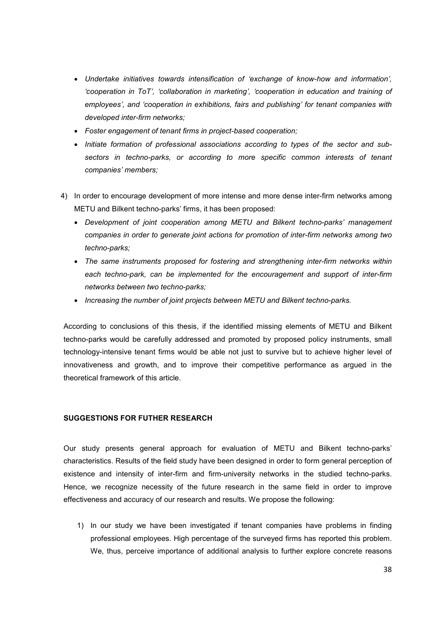- *Undertake initiatives towards intensification of 'exchange of know-how and information', 'cooperation in ToT', 'collaboration in marketing', 'cooperation in education and training of employees', and 'cooperation in exhibitions, fairs and publishing' for tenant companies with developed inter-firm networks;*
- *Foster engagement of tenant firms in project-based cooperation;*
- *Initiate formation of professional associations according to types of the sector and subsectors in techno-parks, or according to more specific common interests of tenant companies' members;*
- 4) In order to encourage development of more intense and more dense inter-firm networks among METU and Bilkent techno-parks' firms, it has been proposed:
	- *Development of joint cooperation among METU and Bilkent techno-parks' management companies in order to generate joint actions for promotion of inter-firm networks among two techno-parks;*
	- *The same instruments proposed for fostering and strengthening inter-firm networks within each techno-park, can be implemented for the encouragement and support of inter-firm networks between two techno-parks;*
	- *Increasing the number of joint projects between METU and Bilkent techno-parks.*

According to conclusions of this thesis, if the identified missing elements of METU and Bilkent techno-parks would be carefully addressed and promoted by proposed policy instruments, small technology-intensive tenant firms would be able not just to survive but to achieve higher level of innovativeness and growth, and to improve their competitive performance as argued in the theoretical framework of this article.

#### **SUGGESTIONS FOR FUTHER RESEARCH**

Our study presents general approach for evaluation of METU and Bilkent techno-parks' characteristics. Results of the field study have been designed in order to form general perception of existence and intensity of inter-firm and firm-university networks in the studied techno-parks. Hence, we recognize necessity of the future research in the same field in order to improve effectiveness and accuracy of our research and results. We propose the following:

1) In our study we have been investigated if tenant companies have problems in finding professional employees. High percentage of the surveyed firms has reported this problem. We, thus, perceive importance of additional analysis to further explore concrete reasons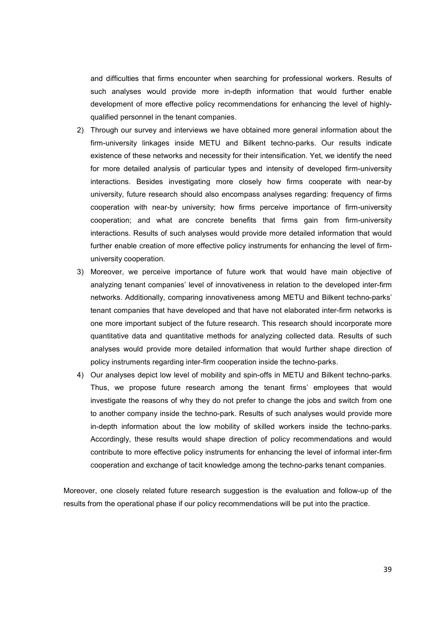and difficulties that firms encounter when searching for professional workers. Results of such analyses would provide more in-depth information that would further enable development of more effective policy recommendations for enhancing the level of highlyqualified personnel in the tenant companies.

- 2) Through our survey and interviews we have obtained more general information about the firm-university linkages inside METU and Bilkent techno-parks. Our results indicate existence of these networks and necessity for their intensification. Yet, we identify the need for more detailed analysis of particular types and intensity of developed firm-university interactions. Besides investigating more closely how firms cooperate with near-by university, future research should also encompass analyses regarding: frequency of firms cooperation with near-by university; how firms perceive importance of firm-university cooperation; and what are concrete benefits that firms gain from firm-university interactions. Results of such analyses would provide more detailed information that would further enable creation of more effective policy instruments for enhancing the level of firmuniversity cooperation.
- 3) Moreover, we perceive importance of future work that would have main objective of analyzing tenant companies' level of innovativeness in relation to the developed inter-firm networks. Additionally, comparing innovativeness among METU and Bilkent techno-parks' tenant companies that have developed and that have not elaborated inter-firm networks is one more important subject of the future research. This research should incorporate more quantitative data and quantitative methods for analyzing collected data. Results of such analyses would provide more detailed information that would further shape direction of policy instruments regarding inter-firm cooperation inside the techno-parks.
- 4) Our analyses depict low level of mobility and spin-offs in METU and Bilkent techno-parks. Thus, we propose future research among the tenant firms' employees that would investigate the reasons of why they do not prefer to change the jobs and switch from one to another company inside the techno-park. Results of such analyses would provide more in-depth information about the low mobility of skilled workers inside the techno-parks. Accordingly, these results would shape direction of policy recommendations and would contribute to more effective policy instruments for enhancing the level of informal inter-firm cooperation and exchange of tacit knowledge among the techno-parks tenant companies.

Moreover, one closely related future research suggestion is the evaluation and follow-up of the results from the operational phase if our policy recommendations will be put into the practice.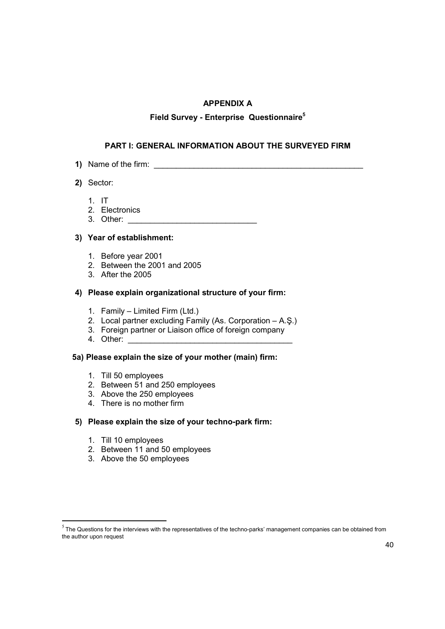# **APPENDIX A**

# **Field Survey - Enterprise Questionnaire<sup>5</sup>**

# **PART I: GENERAL INFORMATION ABOUT THE SURVEYED FIRM**

- **1)** Name of the firm: \_\_\_\_\_\_\_\_\_\_\_\_\_\_\_\_\_\_\_\_\_\_\_\_\_\_\_\_\_\_\_\_\_\_\_\_\_\_\_\_\_\_\_\_\_\_\_
- **2)** Sector:
	- 1. IT
	- 2. Electronics
	- 3. Other: \_\_\_\_\_\_\_\_\_\_\_\_\_\_\_\_\_\_\_\_\_\_\_\_\_\_\_\_\_

## **3) Year of establishment:**

- 1. Before year 2001
- 2. Between the 2001 and 2005
- 3. After the 2005

#### **4) Please explain organizational structure of your firm:**

- 1. Family Limited Firm (Ltd.)
- 2. Local partner excluding Family (As. Corporation A.Ş.)
- 3. Foreign partner or Liaison office of foreign company
- 4. Other:

# **5a) Please explain the size of your mother (main) firm:**

- 1. Till 50 employees
- 2. Between 51 and 250 employees
- 3. Above the 250 employees
- 4. There is no mother firm

#### **5) Please explain the size of your techno-park firm:**

1. Till 10 employees

- 2. Between 11 and 50 employees
- 3. Above the 50 employees

 $<sup>5</sup>$  The Questions for the interviews with the representatives of the techno-parks' management companies can be obtained from</sup> the author upon request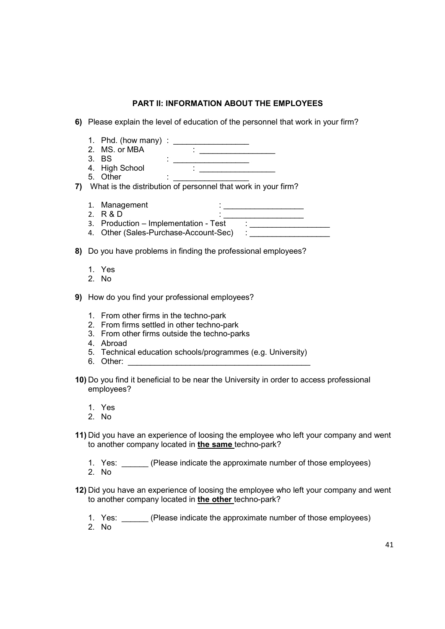# **PART II: INFORMATION ABOUT THE EMPLOYEES**

- **6)** Please explain the level of education of the personnel that work in your firm?
- 1. Phd. (how many) : \_\_\_\_\_\_\_\_\_\_\_\_\_\_\_\_\_ 2. MS. or MBA<br>3. BS 3. BS : \_\_\_\_\_\_\_\_\_\_\_\_\_\_\_\_\_ 4. High School : \_\_\_\_\_\_\_\_\_\_\_\_\_\_\_\_\_\_ 3. BS<br>4. High School<br> $\vdots$ **7)** What is the distribution of personnel that work in your firm? 1. Management<br>2. R & D 2. R & D : \_\_\_\_\_\_\_\_\_\_\_\_\_\_\_\_\_\_ 3. Production – Implementation - Test : 4. Other (Sales-Purchase-Account-Sec) : **8)** Do you have problems in finding the professional employees?
	- 1. Yes
	- 2. No

**9)** How do you find your professional employees?

- 1. From other firms in the techno-park
- 2. From firms settled in other techno-park
- 3. From other firms outside the techno-parks
- 4. Abroad
- 5. Technical education schools/programmes (e.g. University)
- 6. Other:
- **10)** Do you find it beneficial to be near the University in order to access professional employees?
	- 1. Yes
	- 2. No
- **11)** Did you have an experience of loosing the employee who left your company and went to another company located in **the same** techno-park?
	- 1. Yes: (Please indicate the approximate number of those employees)
	- 2. No
- **12)** Did you have an experience of loosing the employee who left your company and went to another company located in **the other** techno-park?
	- 1. Yes: \_\_\_\_\_\_ (Please indicate the approximate number of those employees)
	- 2. No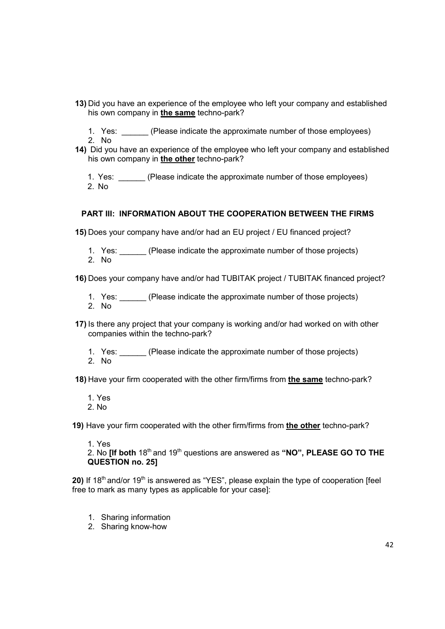- **13)** Did you have an experience of the employee who left your company and established his own company in **the same** techno-park?
	- 1. Yes: (Please indicate the approximate number of those employees)
- 2. No
- **14)** Did you have an experience of the employee who left your company and established his own company in **the other** techno-park?

1. Yes: (Please indicate the approximate number of those employees) 2. No

# **PART III: INFORMATION ABOUT THE COOPERATION BETWEEN THE FIRMS**

**15)** Does your company have and/or had an EU project / EU financed project?

1. Yes: (Please indicate the approximate number of those projects) 2. No

**16)** Does your company have and/or had TUBITAK project / TUBITAK financed project?

1. Yes: (Please indicate the approximate number of those projects) 2. No

- **17)** Is there any project that your company is working and/or had worked on with other companies within the techno-park?
	- 1. Yes: (Please indicate the approximate number of those projects) 2. No

**18)** Have your firm cooperated with the other firm/firms from **the same** techno-park?

1. Yes

2. No

**19)** Have your firm cooperated with the other firm/firms from **the other** techno-park?

1. Yes

2. No **[If both**  $18^{th}$  and  $19^{th}$  questions are answered as "NO", PLEASE GO TO THE **QUESTION no. 25]**

20) If 18<sup>th</sup> and/or 19<sup>th</sup> is answered as "YES", please explain the type of cooperation [feel free to mark as many types as applicable for your case]:

- 1. Sharing information
- 2. Sharing know-how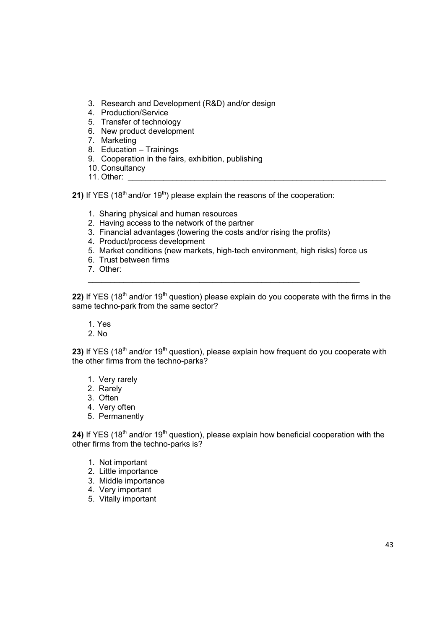- 3. Research and Development (R&D) and/or design
- 4. Production/Service
- 5. Transfer of technology
- 6. New product development
- 7. Marketing
- 8. Education Trainings
- 9. Cooperation in the fairs, exhibition, publishing
- 10. Consultancy
- 11. Other:

**21)** If YES (18<sup>th</sup> and/or 19<sup>th</sup>) please explain the reasons of the cooperation:

- 1. Sharing physical and human resources
- 2. Having access to the network of the partner
- 3. Financial advantages (lowering the costs and/or rising the profits)
- 4. Product/process development
- 5. Market conditions (new markets, high-tech environment, high risks) force us

\_\_\_\_\_\_\_\_\_\_\_\_\_\_\_\_\_\_\_\_\_\_\_\_\_\_\_\_\_\_\_\_\_\_\_\_\_\_\_\_\_\_\_\_\_\_\_\_\_\_\_\_\_\_\_\_\_\_\_\_\_

- 6. Trust between firms
- 7. Other:

**22)** If YES (18<sup>th</sup> and/or 19<sup>th</sup> question) please explain do you cooperate with the firms in the same techno-park from the same sector?

1. Yes

2. No

23) If YES (18<sup>th</sup> and/or 19<sup>th</sup> question), please explain how frequent do you cooperate with the other firms from the techno-parks?

- 1. Very rarely
- 2. Rarely
- 3. Often
- 4. Very often
- 5. Permanently

**24)** If YES (18<sup>th</sup> and/or 19<sup>th</sup> question), please explain how beneficial cooperation with the other firms from the techno-parks is?

- 1. Not important
- 2. Little importance
- 3. Middle importance
- 4. Very important
- 5. Vitally important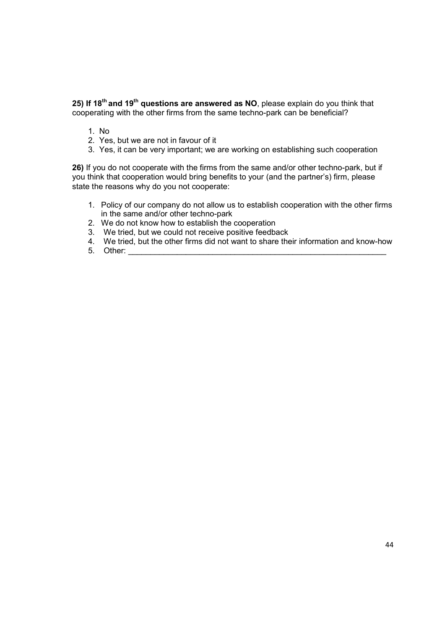**25) If 18th and 19th questions are answered as NO**, please explain do you think that cooperating with the other firms from the same techno-park can be beneficial?

- 1. No
- 2. Yes, but we are not in favour of it
- 3. Yes, it can be very important; we are working on establishing such cooperation

**26)** If you do not cooperate with the firms from the same and/or other techno-park, but if you think that cooperation would bring benefits to your (and the partner's) firm, please state the reasons why do you not cooperate:

- 1. Policy of our company do not allow us to establish cooperation with the other firms in the same and/or other techno-park
- 2. We do not know how to establish the cooperation
- 3. We tried, but we could not receive positive feedback
- 4. We tried, but the other firms did not want to share their information and know-how
- 5. Other: \_\_\_\_\_\_\_\_\_\_\_\_\_\_\_\_\_\_\_\_\_\_\_\_\_\_\_\_\_\_\_\_\_\_\_\_\_\_\_\_\_\_\_\_\_\_\_\_\_\_\_\_\_\_\_\_\_\_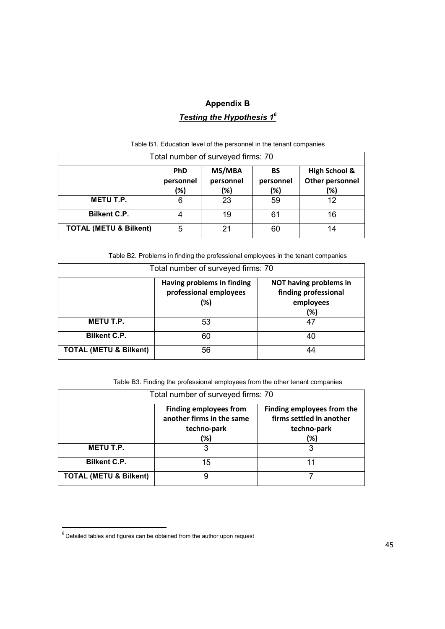# **Appendix B**  *Testing the Hypothesis 1<sup>6</sup>*

| Total number of surveyed firms: 70                                                                                                           |   |    |    |    |  |  |
|----------------------------------------------------------------------------------------------------------------------------------------------|---|----|----|----|--|--|
| MS/MBA<br><b>High School &amp;</b><br><b>PhD</b><br>BS<br>Other personnel<br>personnel<br>personnel<br>personnel<br>(%)<br>(%)<br>(%)<br>(%) |   |    |    |    |  |  |
| <b>METU T.P.</b>                                                                                                                             | 6 | 23 | 59 | 12 |  |  |
| <b>Bilkent C.P.</b>                                                                                                                          |   | 19 | 61 | 16 |  |  |
| <b>TOTAL (METU &amp; Bilkent)</b>                                                                                                            | 5 | 21 | 60 | 14 |  |  |

Table B1. Education level of the personnel in the tenant companies

Table B2. Problems in finding the professional employees in the tenant companies

| Total number of surveyed firms: 70 |                                                             |                                                                    |  |  |
|------------------------------------|-------------------------------------------------------------|--------------------------------------------------------------------|--|--|
|                                    | Having problems in finding<br>professional employees<br>(%) | NOT having problems in<br>finding professional<br>employees<br>(%) |  |  |
| <b>METU T.P.</b>                   | 53                                                          | 47                                                                 |  |  |
| <b>Bilkent C.P.</b>                | 60                                                          | 40                                                                 |  |  |
| <b>TOTAL (METU &amp; Bilkent)</b>  | 56                                                          |                                                                    |  |  |

Table B3. Finding the professional employees from the other tenant companies

| Total number of surveyed firms: 70 |                                                                                  |                                                                              |  |  |
|------------------------------------|----------------------------------------------------------------------------------|------------------------------------------------------------------------------|--|--|
|                                    | <b>Finding employees from</b><br>another firms in the same<br>techno-park<br>(%) | Finding employees from the<br>firms settled in another<br>techno-park<br>(%) |  |  |
| <b>METU T.P.</b>                   | З                                                                                |                                                                              |  |  |
| <b>Bilkent C.P.</b>                | 15                                                                               |                                                                              |  |  |
| <b>TOTAL (METU &amp; Bilkent)</b>  | 9                                                                                |                                                                              |  |  |

 $<sup>6</sup>$  Detailed tables and figures can be obtained from the author upon request</sup>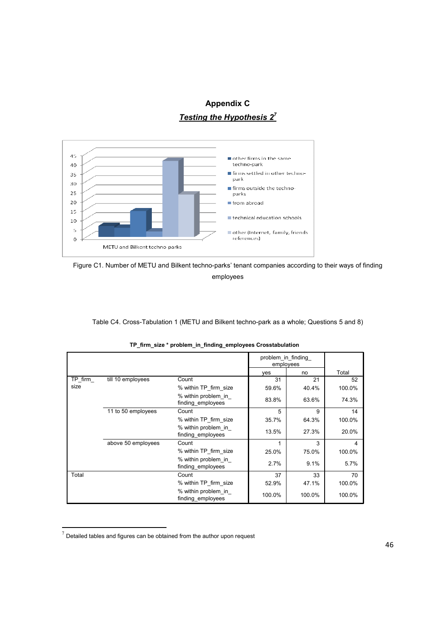# **Appendix C**  *Testing the Hypothesis 2<sup>7</sup>*



Figure C1. Number of METU and Bilkent techno-parks' tenant companies according to their ways of finding employees

Table C4. Cross-Tabulation 1 (METU and Bilkent techno-park as a whole; Questions 5 and 8)

|         |                    |                                          | problem in finding<br>employees |        |        |
|---------|--------------------|------------------------------------------|---------------------------------|--------|--------|
|         |                    |                                          | ves                             | no     | Total  |
| TP firm | till 10 employees  | Count                                    | 31                              | 21     | 52     |
| size    |                    | % within TP firm size                    | 59.6%                           | 40.4%  | 100.0% |
|         |                    | % within problem in<br>finding employees | 83.8%                           | 63.6%  | 74.3%  |
|         | 11 to 50 employees | Count                                    | 5                               | 9      | 14     |
|         |                    | % within TP firm size                    | 35.7%                           | 64.3%  | 100.0% |
|         |                    | % within problem in<br>finding employees | 13.5%                           | 27.3%  | 20.0%  |
|         | above 50 employees | Count                                    | 1                               | 3      | 4      |
|         |                    | % within TP firm size                    | 25.0%                           | 75.0%  | 100.0% |
|         |                    | % within problem in<br>finding employees | 2.7%                            | 9.1%   | 5.7%   |
| Total   |                    | Count                                    | 37                              | 33     | 70     |
|         |                    | % within TP firm size                    | 52.9%                           | 47.1%  | 100.0% |
|         |                    | % within problem in<br>finding employees | 100.0%                          | 100.0% | 100.0% |

**TP\_firm\_size \* problem\_in\_finding\_employees Crosstabulation**

 $<sup>7</sup>$  Detailed tables and figures can be obtained from the author upon request</sup>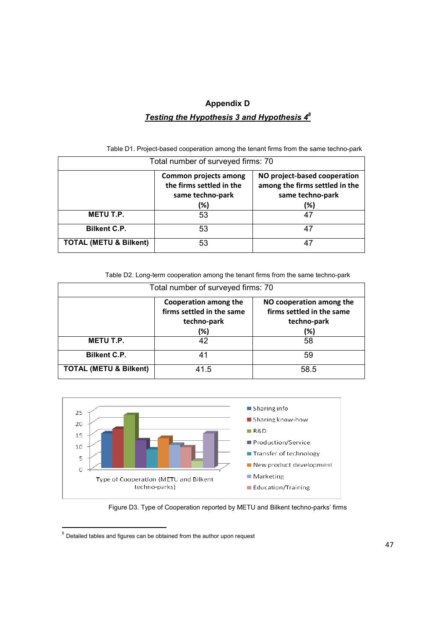# **Appendix D**  *Testing the Hypothesis 3 and Hypothesis 4<sup>8</sup>*

| Total number of surveyed firms: 70 |                                                                                     |                                                                                           |  |  |
|------------------------------------|-------------------------------------------------------------------------------------|-------------------------------------------------------------------------------------------|--|--|
|                                    | <b>Common projects among</b><br>the firms settled in the<br>same techno-park<br>(%) | NO project-based cooperation<br>among the firms settled in the<br>same techno-park<br>(%) |  |  |
| METU T.P.                          | 53                                                                                  |                                                                                           |  |  |
| <b>Bilkent C.P.</b>                | 53                                                                                  |                                                                                           |  |  |
| <b>TOTAL (METU &amp; Bilkent)</b>  | 53                                                                                  |                                                                                           |  |  |

Table D1. Project-based cooperation among the tenant firms from the same techno-park

Table D2. Long-term cooperation among the tenant firms from the same techno-park

| Total number of surveyed firms: 70                                                                                                                      |      |      |  |  |  |
|---------------------------------------------------------------------------------------------------------------------------------------------------------|------|------|--|--|--|
| Cooperation among the<br>NO cooperation among the<br>firms settled in the same<br>firms settled in the same<br>techno-park<br>techno-park<br>(%)<br>(%) |      |      |  |  |  |
| <b>METU T.P.</b>                                                                                                                                        | 42   | 58   |  |  |  |
| <b>Bilkent C.P.</b>                                                                                                                                     | 41   | 59   |  |  |  |
| <b>TOTAL (METU &amp; Bilkent)</b>                                                                                                                       | 41.5 | 58.5 |  |  |  |



Figure D3. Type of Cooperation reported by METU and Bilkent techno-parks' firms

 $8$  Detailed tables and figures can be obtained from the author upon request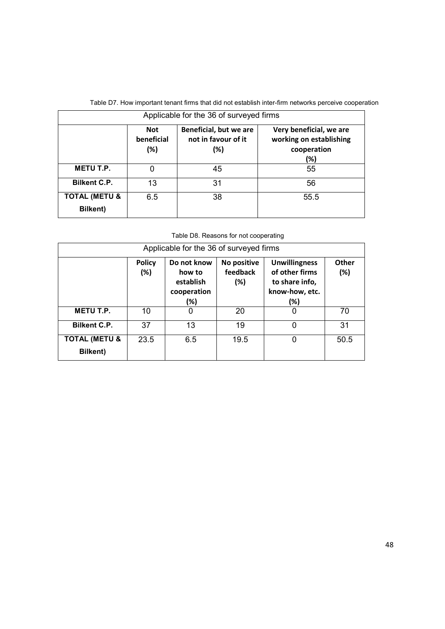| Applicable for the 36 of surveyed firms     |                                 |                                                         |                                                                          |  |  |
|---------------------------------------------|---------------------------------|---------------------------------------------------------|--------------------------------------------------------------------------|--|--|
|                                             | <b>Not</b><br>beneficial<br>(%) | Beneficial, but we are<br>not in favour of it<br>$(\%)$ | Very beneficial, we are<br>working on establishing<br>cooperation<br>(%) |  |  |
| <b>METU T.P.</b>                            | 0                               | 45                                                      | 55                                                                       |  |  |
| <b>Bilkent C.P.</b>                         | 13                              | 31                                                      | 56                                                                       |  |  |
| <b>TOTAL (METU &amp;</b><br><b>Bilkent)</b> | 6.5                             | 38                                                      | 55.5                                                                     |  |  |

Table D7. How important tenant firms that did not establish inter-firm networks perceive cooperation

Table D8. Reasons for not cooperating

| Applicable for the 36 of surveyed firms     |                      |                                                          |                                |                                                                                   |              |
|---------------------------------------------|----------------------|----------------------------------------------------------|--------------------------------|-----------------------------------------------------------------------------------|--------------|
|                                             | <b>Policy</b><br>(%) | Do not know<br>how to<br>establish<br>cooperation<br>(%) | No positive<br>feedback<br>(%) | <b>Unwillingness</b><br>of other firms<br>to share info,<br>know-how, etc.<br>(%) | Other<br>(%) |
| <b>METU T.P.</b>                            | 10                   | 0                                                        | 20                             | 0                                                                                 | 70           |
| <b>Bilkent C.P.</b>                         | 37                   | 13                                                       | 19                             | 0                                                                                 | 31           |
| <b>TOTAL (METU &amp;</b><br><b>Bilkent)</b> | 23.5                 | 6.5                                                      | 19.5                           | 0                                                                                 | 50.5         |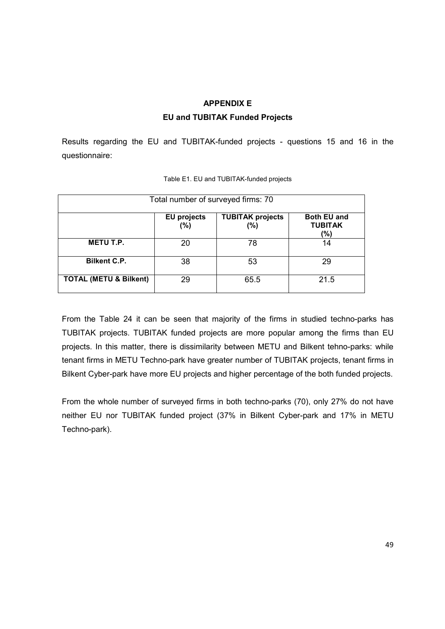# **APPENDIX E EU and TUBITAK Funded Projects**

Results regarding the EU and TUBITAK-funded projects - questions 15 and 16 in the questionnaire:

| Total number of surveyed firms: 70 |                           |                                |                                             |  |
|------------------------------------|---------------------------|--------------------------------|---------------------------------------------|--|
|                                    | <b>EU projects</b><br>(%) | <b>TUBITAK projects</b><br>(%) | <b>Both EU and</b><br><b>TUBITAK</b><br>(%) |  |
| <b>METU T.P.</b>                   | 20                        | 78                             | 14                                          |  |
| <b>Bilkent C.P.</b>                | 38                        | 53                             | 29                                          |  |
| <b>TOTAL (METU &amp; Bilkent)</b>  | 29                        | 65.5                           | 21.5                                        |  |

| Table E1. EU and TUBITAK-funded projects |  |
|------------------------------------------|--|
|                                          |  |

From the Table 24 it can be seen that majority of the firms in studied techno-parks has TUBITAK projects. TUBITAK funded projects are more popular among the firms than EU projects. In this matter, there is dissimilarity between METU and Bilkent tehno-parks: while tenant firms in METU Techno-park have greater number of TUBITAK projects, tenant firms in Bilkent Cyber-park have more EU projects and higher percentage of the both funded projects.

From the whole number of surveyed firms in both techno-parks (70), only 27% do not have neither EU nor TUBITAK funded project (37% in Bilkent Cyber-park and 17% in METU Techno-park).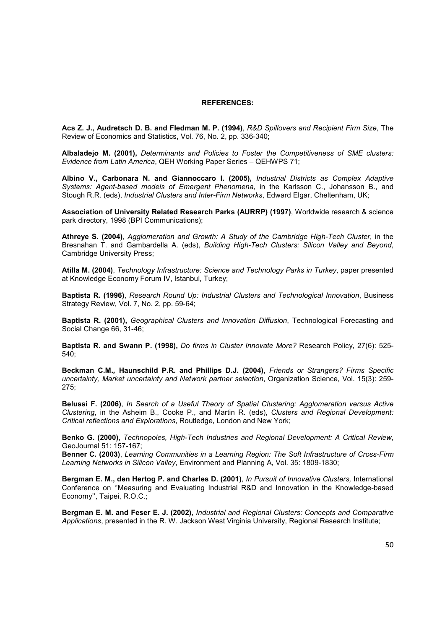#### **REFERENCES:**

**Acs Z. J., Audretsch D. B. and Fledman M. P. (1994)**, *R&D Spillovers and Recipient Firm Size*, The Review of Economics and Statistics, Vol. 76, No. 2, pp. 336-340;

**Albaladejo M. (2001),** *Determinants and Policies to Foster the Competitiveness of SME clusters: Evidence from Latin America*, QEH Working Paper Series – QEHWPS 71;

**Albino V., Carbonara N. and Giannoccaro I. (2005),** *Industrial Districts as Complex Adaptive Systems: Agent-based models of Emergent Phenomena*, in the Karlsson C., Johansson B., and Stough R.R. (eds), *Industrial Clusters and Inter-Firm Networks*, Edward Elgar, Cheltenham, UK;

**Association of University Related Research Parks (AURRP) (1997)**, Worldwide research & science park directory, 1998 (BPI Communications);

**Athreye S. (2004)**, *Agglomeration and Growth: A Study of the Cambridge High-Tech Cluster*, in the Bresnahan T. and Gambardella A. (eds), *Building High-Tech Clusters: Silicon Valley and Beyond*, Cambridge University Press;

**Atilla M. (2004)**, *Technology Infrastructure: Science and Technology Parks in Turkey*, paper presented at Knowledge Economy Forum IV, Istanbul, Turkey;

**Baptista R. (1996)**, *Research Round Up: Industrial Clusters and Technological Innovation*, Business Strategy Review, Vol. 7, No. 2, pp. 59-64;

**Baptista R. (2001),** *Geographical Clusters and Innovation Diffusion*, Technological Forecasting and Social Change 66, 31-46;

**Baptista R. and Swann P. (1998),** *Do firms in Cluster Innovate More?* Research Policy, 27(6): 525- 540;

**Beckman C.M.***,* **Haunschild P.R. and Phillips D.J. (2004)**, *Friends or Strangers? Firms Specific uncertainty, Market uncertainty and Network partner selection*, Organization Science, Vol. 15(3): 259- 275;

**Belussi F. (2006)**, *In Search of a Useful Theory of Spatial Clustering: Agglomeration versus Active Clustering*, in the Asheim B., Cooke P., and Martin R. (eds), *Clusters and Regional Development: Critical reflections and Explorations*, Routledge, London and New York;

**Benko G. (2000)**, *Technopoles, High-Tech Industries and Regional Development: A Critical Review*, GeoJournal 51: 157-167;

**Benner C. (2003)**, *Learning Communities in a Learning Region: The Soft Infrastructure of Cross-Firm Learning Networks in Silicon Valley*, Environment and Planning A, Vol. 35: 1809-1830;

**Bergman E. M., den Hertog P. and Charles D. (2001)**, *In Pursuit of Innovative Clusters,* International Conference on ''Measuring and Evaluating Industrial R&D and Innovation in the Knowledge-based Economy'', Taipei, R.O.C.;

**Bergman E. M. and Feser E. J. (2002)**, *Industrial and Regional Clusters: Concepts and Comparative Applications*, presented in the R. W. Jackson West Virginia University, Regional Research Institute;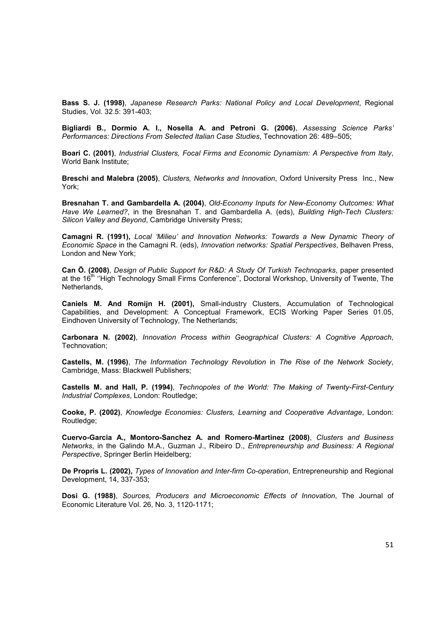**Bass S. J. (1998)**, *Japanese Research Parks: National Policy and Local Development*, Regional Studies, Vol. 32.5: 391-403;

**Bigliardi B., Dormio A. I., Nosella A. and Petroni G. (2006)**, *Assessing Science Parks' Performances: Directions From Selected Italian Case Studies*, Technovation 26: 489–505;

**Boari C. (2001)**, *Industrial Clusters, Focal Firms and Economic Dynamism: A Perspective from Italy*, World Bank Institute;

**Breschi and Malebra (2005)**, *Clusters, Networks and Innovation*, Oxford University Press Inc., New York;

**Bresnahan T. and Gambardella A. (2004)**, *Old-Economy Inputs for New-Economy Outcomes: What Have We Learned?*, in the Bresnahan T. and Gambardella A. (eds), *Building High-Tech Clusters: Silicon Valley and Beyond*, Cambridge University Press;

**Camagni R. (1991),** *Local 'Milieu' and Innovation Networks: Towards a New Dynamic Theory of Economic Space* in the Camagni R. (eds), *Innovation networks: Spatial Perspectives*, Belhaven Press, London and New York;

**Can Ö. (2008)**, *Design of Public Support for R&D: A Study Of Turkish Technoparks*, paper presented at the 16<sup>th</sup> "High Technology Small Firms Conference", Doctoral Workshop, University of Twente, The Netherlands,

**Caniels M. And Romijn H. (2001),** Small-industry Clusters, Accumulation of Technological Capabilities, and Development: A Conceptual Framework, ECIS Working Paper Series 01.05, Eindhoven University of Technology, The Netherlands;

**Carbonara N. (2002)**, *Innovation Process within Geographical Clusters: A Cognitive Approach*, Technovation;

**Castells, M. (1996)**, *The Information Technology Revolution* in *The Rise of the Network Society*, Cambridge, Mass: Blackwell Publishers;

**Castells M. and Hall, P. (1994)**, *Technopoles of the World: The Making of Twenty-First-Century Industrial Complexes*, London: Routledge;

**Cooke, P. (2002)**, *Knowledge Economies: Clusters, Learning and Cooperative Advantage*, London: Routledge;

**Cuervo-Garcia A., Montoro-Sanchez A. and Romero-Martinez (2008)**, *Clusters and Business Networks*, in the Galindo M.A., Guzman J., Ribeiro D., *Entrepreneurship and Business: A Regional Perspective*, Springer Berlin Heidelberg;

**De Propris L. (2002),** *Types of Innovation and Inter-firm Co-operation*, Entrepreneurship and Regional Development, 14, 337-353;

**Dosi G. (1988)**, *Sources, Producers and Microeconomic Effects of Innovation*, The Journal of Economic Literature Vol. 26, No. 3, 1120-1171;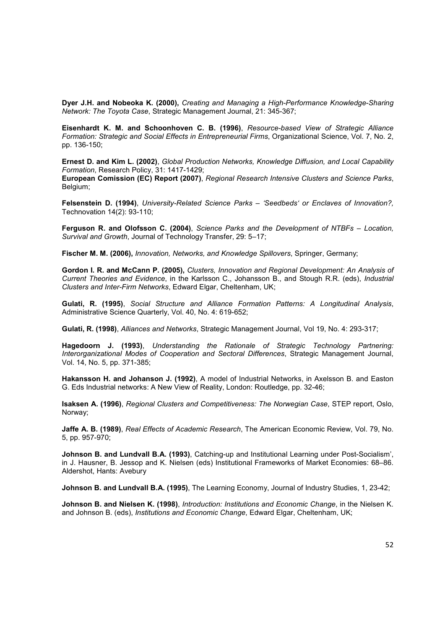**Dyer J.H. and Nobeoka K. (2000),** *Creating and Managing a High-Performance Knowledge-Sharing Network: The Toyota Case*, Strategic Management Journal, 21: 345-367;

**Eisenhardt K. M. and Schoonhoven C. B. (1996)**, *Resource-based View of Strategic Alliance Formation: Strategic and Social Effects in Entrepreneurial Firms*, Organizational Science, Vol. 7, No. 2, pp. 136-150;

**Ernest D. and Kim L. (2002)**, *Global Production Networks, Knowledge Diffusion, and Local Capability Formation*, Research Policy, 31: 1417-1429;

**European Comission (EC) Report (2007)**, *Regional Research Intensive Clusters and Science Parks*, Belgium;

**Felsenstein D. (1994)**, *University-Related Science Parks – 'Seedbeds' or Enclaves of Innovation?,* Technovation 14(2): 93-110;

**Ferguson R. and Olofsson C. (2004)**, *Science Parks and the Development of NTBFs – Location, Survival and Growth*, Journal of Technology Transfer, 29: 5–17;

**Fischer M. M. (2006),** *Innovation, Networks, and Knowledge Spillovers*, Springer, Germany;

**Gordon I. R. and McCann P. (2005),** *Clusters, Innovation and Regional Development: An Analysis of Current Theories and Evidence*, in the Karlsson C., Johansson B., and Stough R.R. (eds), *Industrial Clusters and Inter-Firm Networks*, Edward Elgar, Cheltenham, UK;

**Gulati, R. (1995)**, *Social Structure and Alliance Formation Patterns: A Longitudinal Analysis*, Administrative Science Quarterly, Vol. 40, No. 4: 619-652;

**Gulati, R. (1998)**, *Alliances and Networks*, Strategic Management Journal, Vol 19, No. 4: 293-317;

**Hagedoorn J. (1993)**, *Understanding the Rationale of Strategic Technology Partnering: Interorganizational Modes of Cooperation and Sectoral Differences*, Strategic Management Journal, Vol. 14, No. 5, pp. 371-385;

**Hakansson H. and Johanson J. (1992)**, A model of Industrial Networks, in Axelsson B. and Easton G. Eds Industrial networks: A New View of Reality, London: Routledge, pp. 32-46;

**Isaksen A. (1996)**, *Regional Clusters and Competitiveness: The Norwegian Case*, STEP report, Oslo, Norway;

**Jaffe A. B. (1989)**, *Real Effects of Academic Research*, The American Economic Review, Vol. 79, No. 5, pp. 957-970;

**Johnson B. and Lundvall B.A. (1993)**, Catching-up and Institutional Learning under Post-Socialism', in J. Hausner, B. Jessop and K. Nielsen (eds) Institutional Frameworks of Market Economies: 68–86. Aldershot, Hants: Avebury

**Johnson B. and Lundvall B.A. (1995)**, The Learning Economy, Journal of Industry Studies, 1, 23-42;

**Johnson B. and Nielsen K. (1998)**, *Introduction: Institutions and Economic Change*, in the Nielsen K. and Johnson B. (eds), *Institutions and Economic Change*, Edward Elgar, Cheltenham, UK;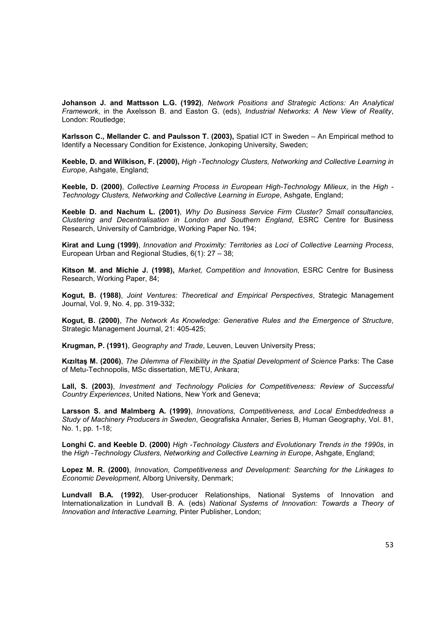**Johanson J. and Mattsson L.G. (1992)**, *Network Positions and Strategic Actions: An Analytical Framework*, in the Axelsson B. and Easton G. (eds), *Industrial Networks: A New View of Reality*, London: Routledge;

**Karlsson C., Mellander C. and Paulsson T. (2003),** Spatial ICT in Sweden – An Empirical method to Identify a Necessary Condition for Existence, Jonkoping University, Sweden;

**Keeble, D. and Wilkison, F. (2000),** *High -Technology Clusters, Networking and Collective Learning in Europe*, Ashgate, England;

**Keeble, D. (2000)**, *Collective Learning Process in European High-Technology Milieux*, in the *High - Technology Clusters, Networking and Collective Learning in Europe*, Ashgate, England;

**Keeble D. and Nachum L. (2001)**, *Why Do Business Service Firm Cluster? Small consultancies, Clustering and Decentralisation in London and Southern England*, ESRC Centre for Business Research, University of Cambridge, Working Paper No. 194;

**Kirat and Lung (1999)**, *Innovation and Proximity: Territories as Loci of Collective Learning Process*, European Urban and Regional Studies, 6(1): 27 – 38;

**Kitson M. and Michie J. (1998),** *Market, Competition and Innovation*, ESRC Centre for Business Research, Working Paper, 84;

**Kogut, B. (1988)**, *Joint Ventures: Theoretical and Empirical Perspectives*, Strategic Management Journal, Vol. 9, No. 4, pp. 319-332;

**Kogut, B. (2000)**, *The Network As Knowledge: Generative Rules and the Emergence of Structure*, Strategic Management Journal, 21: 405-425;

**Krugman, P. (1991)**, *Geography and Trade*, Leuven, Leuven University Press;

**Kızıltaş M. (2006)**, *The Dilemma of Flexibility in the Spatial Development of Science* Parks: The Case of Metu-Technopolis, MSc dissertation, METU, Ankara;

**Lall, S. (2003)**, *Investment and Technology Policies for Competitiveness: Review of Successful Country Experiences*, United Nations, New York and Geneva;

**Larsson S. and Malmberg A. (1999)**, *Innovations, Competitiveness, and Local Embeddedness a Study of Machinery Producers in Sweden*, Geografiska Annaler, Series B, Human Geography, Vol. 81, No. 1, pp. 1-18;

**Longhi C. and Keeble D. (2000)** *High -Technology Clusters and Evolutionary Trends in the 1990s*, in the *High -Technology Clusters, Networking and Collective Learning in Europe*, Ashgate, England;

**Lopez M. R. (2000)**, *Innovation, Competitiveness and Development: Searching for the Linkages to Economic Development*, Alborg University, Denmark;

**Lundvall B.A. (1992)**, User-producer Relationships, National Systems of Innovation and Internationalization in Lundvall B. A. (eds) *National Systems of Innovation: Towards a Theory of Innovation and Interactive Learning,* Pinter Publisher, London;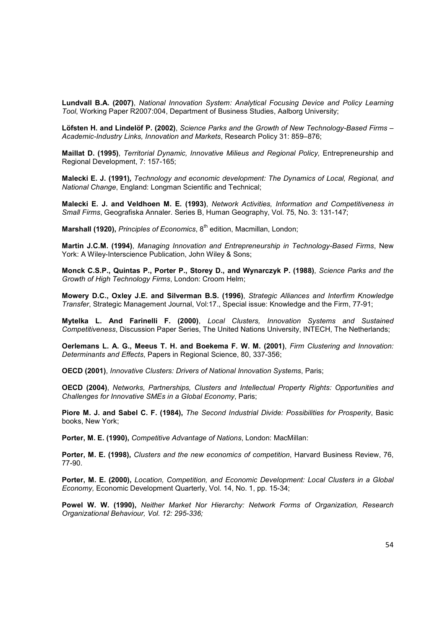**Lundvall B.A. (2007)**, *National Innovation System: Analytical Focusing Device and Policy Learning Tool*, Working Paper R2007:004, Department of Business Studies, Aalborg University;

**Löfsten H. and Lindelöf P. (2002)**, *Science Parks and the Growth of New Technology-Based Firms – Academic-Industry Links, Innovation and Markets*, Research Policy 31: 859–876;

**Maillat D. (1995)**, *Territorial Dynamic, Innovative Milieus and Regional Policy,* Entrepreneurship and Regional Development, 7: 157-165;

**Malecki E. J. (1991),** *Technology and economic development: The Dynamics of Local, Regional, and National Change*, England: Longman Scientific and Technical;

**Malecki E. J. and Veldhoen M. E. (1993)**, *Network Activities, Information and Competitiveness in Small Firms*, Geografiska Annaler. Series B, Human Geography, Vol. 75, No. 3: 131-147;

**Marshall (1920), Principles of Economics, 8<sup>th</sup> edition, Macmillan, London;** 

**Martin J.C.M. (1994)**, *Managing Innovation and Entrepreneurship in Technology-Based Firms*, New York: A Wiley-Interscience Publication, John Wiley & Sons;

**Monck C.S.P., Quintas P., Porter P., Storey D., and Wynarczyk P. (1988)**, *Science Parks and the Growth of High Technology Firms*, London: Croom Helm;

**Mowery D.C., Oxley J.E. and Silverman B.S. (1996)**, *Strategic Alliances and Interfirm Knowledge Transfer*, Strategic Management Journal, Vol:17., Special issue: Knowledge and the Firm, 77-91;

**Mytelka L. And Farinelli F. (2000)**, *Local Clusters, Innovation Systems and Sustained Competitiveness*, Discussion Paper Series, The United Nations University, INTECH, The Netherlands;

**Oerlemans L. A. G., Meeus T. H. and Boekema F. W. M. (2001)**, *Firm Clustering and Innovation: Determinants and Effects*, Papers in Regional Science, 80, 337-356;

**OECD (2001)**, *Innovative Clusters: Drivers of National Innovation Systems*, Paris;

**OECD (2004)**, *Networks, Partnerships, Clusters and Intellectual Property Rights: Opportunities and Challenges for Innovative SMEs in a Global Economy*, Paris;

**Piore M. J. and Sabel C. F. (1984),** *The Second Industrial Divide: Possibilities for Prosperity*, Basic books, New York;

**Porter, M. E. (1990),** *Competitive Advantage of Nations*, London: MacMillan:

**Porter, M. E. (1998),** *Clusters and the new economics of competition*, Harvard Business Review, 76, 77-90.

**Porter, M. E. (2000),** *Location, Competition, and Economic Development: Local Clusters in a Global Economy,* Economic Development Quarterly, Vol. 14, No. 1, pp. 15-34;

**Powel W. W. (1990),** *Neither Market Nor Hierarchy: Network Forms of Organization, Research Organizational Behaviour, Vol. 12: 295-336;*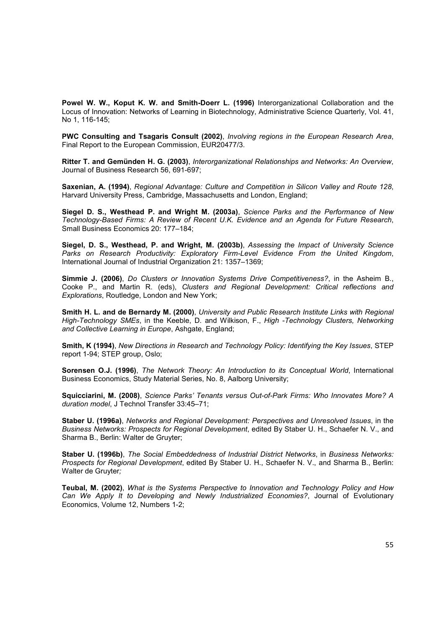**Powel W. W., Koput K. W. and Smith-Doerr L. (1996)** Interorganizational Collaboration and the Locus of Innovation: Networks of Learning in Biotechnology, Administrative Science Quarterly, Vol. 41, No 1, 116-145;

**PWC Consulting and Tsagaris Consult (2002)**, *Involving regions in the European Research Area*, Final Report to the European Commission, EUR20477/3.

**Ritter T. and Gemünden H. G. (2003)**, *Interorganizational Relationships and Networks: An Overview*, Journal of Business Research 56, 691-697;

**Saxenian, A. (1994)**, *Regional Advantage: Culture and Competition in Silicon Valley and Route 128*, Harvard University Press, Cambridge, Massachusetts and London, England;

**Siegel D. S., Westhead P. and Wright M. (2003a)**, *Science Parks and the Performance of New Technology-Based Firms: A Review of Recent U.K. Evidence and an Agenda for Future Research*, Small Business Economics 20: 177–184;

**Siegel, D. S., Westhead, P. and Wright, M. (2003b)**, *Assessing the Impact of University Science Parks on Research Productivity: Exploratory Firm-Level Evidence From the United Kingdom*, International Journal of Industrial Organization 21: 1357–1369;

**Simmie J. (2006)**, *Do Clusters or Innovation Systems Drive Competitiveness?*, in the Asheim B., Cooke P., and Martin R. (eds), *Clusters and Regional Development: Critical reflections and Explorations*, Routledge, London and New York;

**Smith H. L. and de Bernardy M. (2000)**, *University and Public Research Institute Links with Regional High-Technology SMEs*, in the Keeble, D. and Wilkison, F., *High -Technology Clusters, Networking and Collective Learning in Europe*, Ashgate, England;

**Smith, K (1994)**, *New Directions in Research and Technology Policy: Identifying the Key Issues*, STEP report 1-94; STEP group, Oslo;

**Sorensen O.J. (1996)**, *The Network Theory: An Introduction to its Conceptual World*, International Business Economics, Study Material Series, No. 8, Aalborg University;

**Squicciarini, M. (2008)**, *Science Parks' Tenants versus Out-of-Park Firms: Who Innovates More? A duration model*, J Technol Transfer 33:45–71;

**Staber U. (1996a)**, *Networks and Regional Development: Perspectives and Unresolved Issues*, in the *Business Networks: Prospects for Regional Development*, edited By Staber U. H., Schaefer N. V., and Sharma B., Berlin: Walter de Gruyter;

**Staber U. (1996b)**, *The Social Embeddedness of Industrial District Networks*, in *Business Networks: Prospects for Regional Development*, edited By Staber U. H., Schaefer N. V., and Sharma B., Berlin: Walter de Gruyter*;* 

**Teubal, M. (2002)**, *What is the Systems Perspective to Innovation and Technology Policy and How Can We Apply It to Developing and Newly Industrialized Economies?*, Journal of Evolutionary Economics, Volume 12, Numbers 1-2;